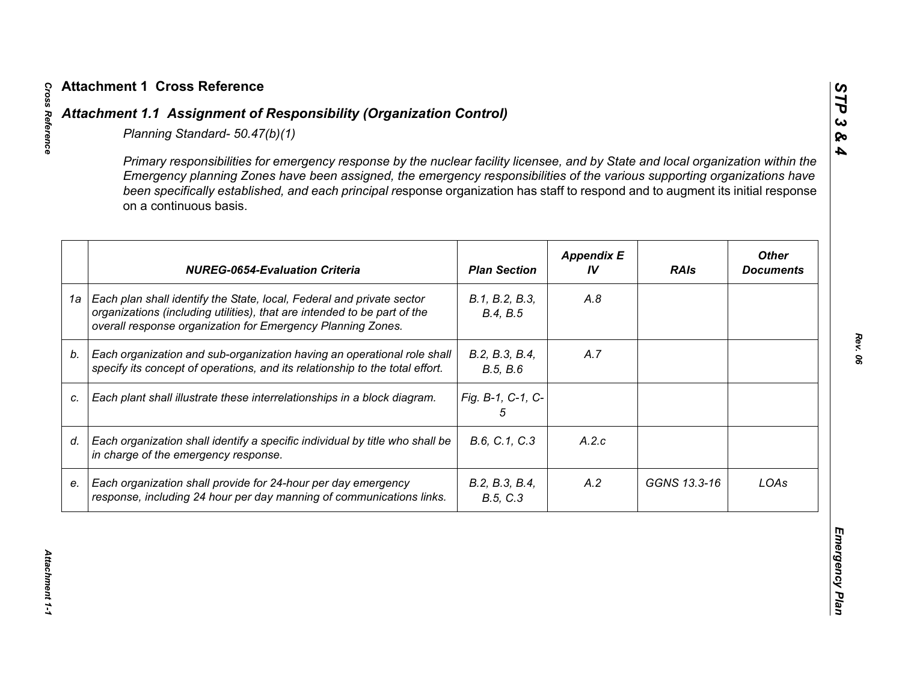|    | Primary responsibilities for emergency response by the nuclear facility licensee, and by State and local organization within the<br>Emergency planning Zones have been assigned, the emergency responsibilities of the various supporting organizations have<br>been specifically established, and each principal response organization has staff to respond and to augment its initial response<br>on a continuous basis. |                            |                         |              |                                  |
|----|----------------------------------------------------------------------------------------------------------------------------------------------------------------------------------------------------------------------------------------------------------------------------------------------------------------------------------------------------------------------------------------------------------------------------|----------------------------|-------------------------|--------------|----------------------------------|
|    | <b>NUREG-0654-Evaluation Criteria</b>                                                                                                                                                                                                                                                                                                                                                                                      | <b>Plan Section</b>        | <b>Appendix E</b><br>IV | <b>RAIs</b>  | <b>Other</b><br><b>Documents</b> |
| 1a | Each plan shall identify the State, local, Federal and private sector<br>organizations (including utilities), that are intended to be part of the<br>overall response organization for Emergency Planning Zones.                                                                                                                                                                                                           | B.1, B.2, B.3,<br>B.4, B.5 | A.8                     |              |                                  |
| b. | Each organization and sub-organization having an operational role shall<br>specify its concept of operations, and its relationship to the total effort.                                                                                                                                                                                                                                                                    | B.2, B.3, B.4,<br>B.5, B.6 | A.7                     |              |                                  |
| C. | Each plant shall illustrate these interrelationships in a block diagram.                                                                                                                                                                                                                                                                                                                                                   | Fig. B-1, C-1, C-<br>5     |                         |              |                                  |
| d. | Each organization shall identify a specific individual by title who shall be<br>in charge of the emergency response.                                                                                                                                                                                                                                                                                                       | B.6, C.1, C.3              | A.2.c                   |              |                                  |
| е. | Each organization shall provide for 24-hour per day emergency<br>response, including 24 hour per day manning of communications links.                                                                                                                                                                                                                                                                                      | B.2, B.3, B.4,<br>B.5, C.3 | A.2                     | GGNS 13.3-16 | LOAs                             |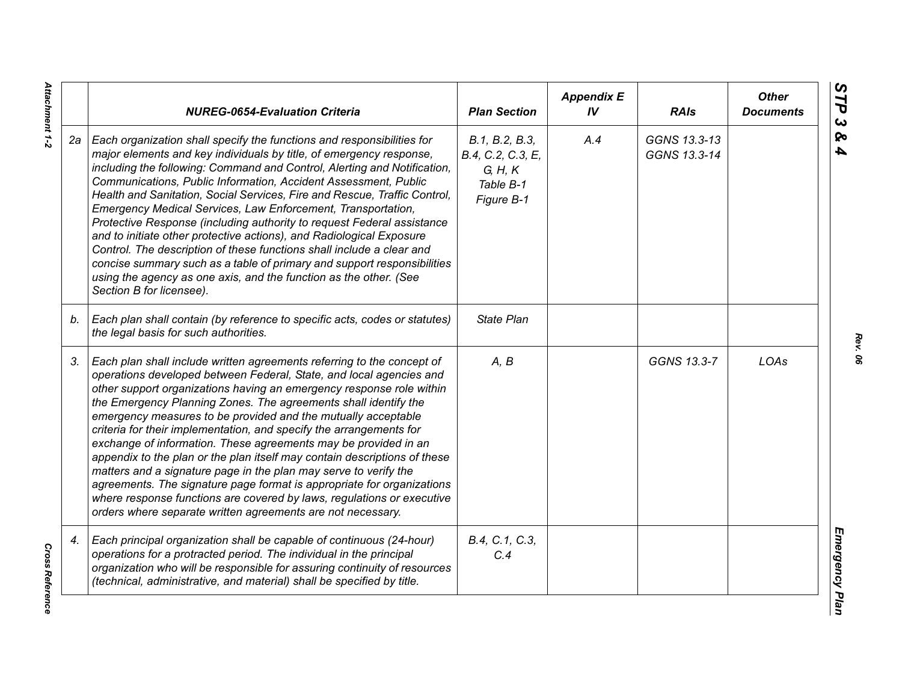|    | <b>NUREG-0654-Evaluation Criteria</b>                                                                                                                                                                                                                                                                                                                                                                                                                                                                                                                                                                                                                                                                                                                                                                                                                                   | <b>Plan Section</b>                                                       | <b>Appendix E</b><br>IV | <b>RAIs</b>                  | <b>Other</b><br><b>Documents</b> |
|----|-------------------------------------------------------------------------------------------------------------------------------------------------------------------------------------------------------------------------------------------------------------------------------------------------------------------------------------------------------------------------------------------------------------------------------------------------------------------------------------------------------------------------------------------------------------------------------------------------------------------------------------------------------------------------------------------------------------------------------------------------------------------------------------------------------------------------------------------------------------------------|---------------------------------------------------------------------------|-------------------------|------------------------------|----------------------------------|
| 2а | Each organization shall specify the functions and responsibilities for<br>major elements and key individuals by title, of emergency response,<br>including the following: Command and Control, Alerting and Notification,<br>Communications, Public Information, Accident Assessment, Public<br>Health and Sanitation, Social Services, Fire and Rescue, Traffic Control,<br>Emergency Medical Services, Law Enforcement, Transportation,<br>Protective Response (including authority to request Federal assistance<br>and to initiate other protective actions), and Radiological Exposure<br>Control. The description of these functions shall include a clear and<br>concise summary such as a table of primary and support responsibilities<br>using the agency as one axis, and the function as the other. (See<br>Section B for licensee).                        | B.1, B.2, B.3,<br>B.4, C.2, C.3, E,<br>G, H, K<br>Table B-1<br>Figure B-1 | A.4                     | GGNS 13.3-13<br>GGNS 13.3-14 |                                  |
| b. | Each plan shall contain (by reference to specific acts, codes or statutes)<br>the legal basis for such authorities.                                                                                                                                                                                                                                                                                                                                                                                                                                                                                                                                                                                                                                                                                                                                                     | <b>State Plan</b>                                                         |                         |                              |                                  |
| 3. | Each plan shall include written agreements referring to the concept of<br>operations developed between Federal, State, and local agencies and<br>other support organizations having an emergency response role within<br>the Emergency Planning Zones. The agreements shall identify the<br>emergency measures to be provided and the mutually acceptable<br>criteria for their implementation, and specify the arrangements for<br>exchange of information. These agreements may be provided in an<br>appendix to the plan or the plan itself may contain descriptions of these<br>matters and a signature page in the plan may serve to verify the<br>agreements. The signature page format is appropriate for organizations<br>where response functions are covered by laws, regulations or executive<br>orders where separate written agreements are not necessary. | A, B                                                                      |                         | GGNS 13.3-7                  | LOAs                             |
| 4. | Each principal organization shall be capable of continuous (24-hour)<br>operations for a protracted period. The individual in the principal<br>organization who will be responsible for assuring continuity of resources<br>(technical, administrative, and material) shall be specified by title.                                                                                                                                                                                                                                                                                                                                                                                                                                                                                                                                                                      | B.4, C.1, C.3,<br>C.4                                                     |                         |                              |                                  |

*Rev. 06*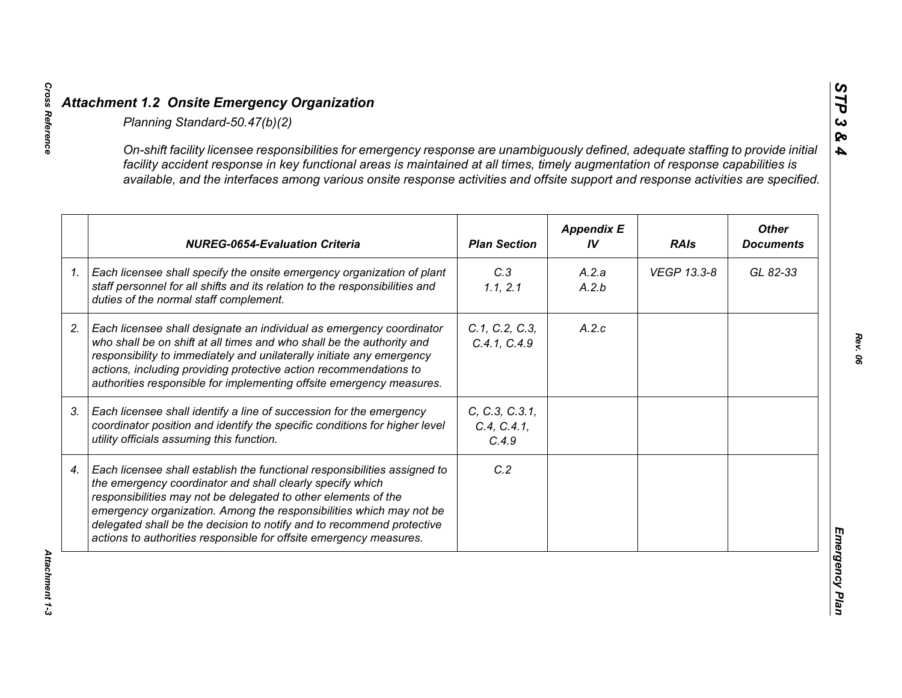|    | On-shift facility licensee responsibilities for emergency response are unambiguously defined, adequate staffing to provide initial<br>facility accident response in key functional areas is maintained at all times, timely augmentation of response capabilities is<br>available, and the interfaces among various onsite response activities and offsite support and response activities are specified.                      |                                        |                         |             |                                  |
|----|--------------------------------------------------------------------------------------------------------------------------------------------------------------------------------------------------------------------------------------------------------------------------------------------------------------------------------------------------------------------------------------------------------------------------------|----------------------------------------|-------------------------|-------------|----------------------------------|
|    | <b>NUREG-0654-Evaluation Criteria</b>                                                                                                                                                                                                                                                                                                                                                                                          | <b>Plan Section</b>                    | <b>Appendix E</b><br>IV | <b>RAIs</b> | <b>Other</b><br><b>Documents</b> |
| 1. | Each licensee shall specify the onsite emergency organization of plant<br>staff personnel for all shifts and its relation to the responsibilities and<br>duties of the normal staff complement.                                                                                                                                                                                                                                | C.3<br>1.1, 2.1                        | A.2.a<br>A.2.b          | VEGP 13.3-8 | GL 82-33                         |
|    | Each licensee shall designate an individual as emergency coordinator<br>who shall be on shift at all times and who shall be the authority and<br>responsibility to immediately and unilaterally initiate any emergency<br>actions, including providing protective action recommendations to<br>authorities responsible for implementing offsite emergency measures.                                                            | C.1, C.2, C.3,<br>C.4.1, C.4.9         | A.2.c                   |             |                                  |
|    | Each licensee shall identify a line of succession for the emergency<br>coordinator position and identify the specific conditions for higher level<br>utility officials assuming this function.                                                                                                                                                                                                                                 | C, C.3, C.3.1,<br>C.4, C.4.1,<br>C.4.9 |                         |             |                                  |
|    | Each licensee shall establish the functional responsibilities assigned to<br>the emergency coordinator and shall clearly specify which<br>responsibilities may not be delegated to other elements of the<br>emergency organization. Among the responsibilities which may not be<br>delegated shall be the decision to notify and to recommend protective<br>actions to authorities responsible for offsite emergency measures. | C.2                                    |                         |             |                                  |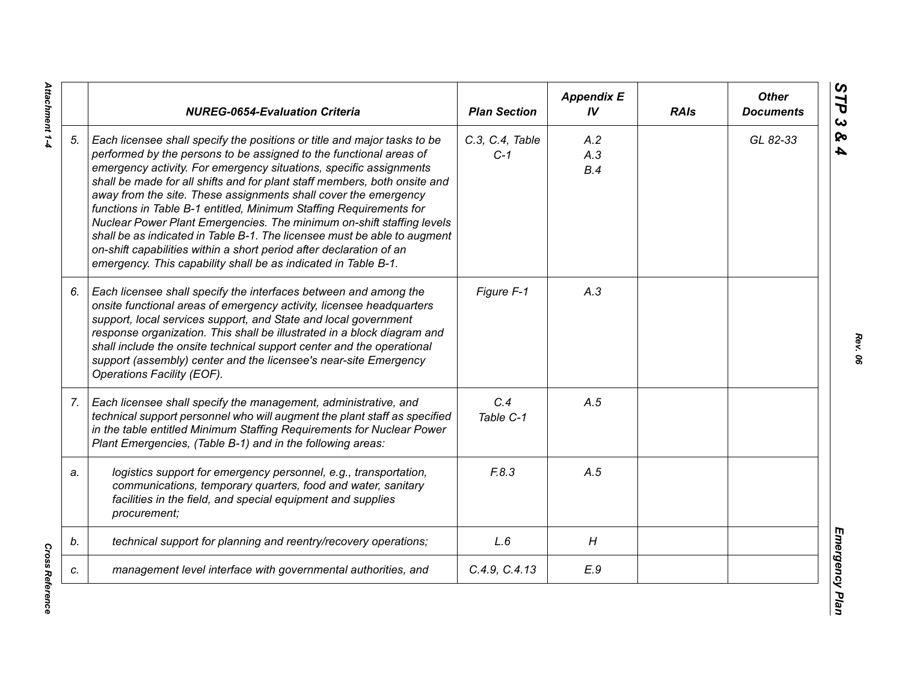|    | <b>NUREG-0654-Evaluation Criteria</b>                                                                                                                                                                                                                                                                                                                                                                                                                                                                                                                                                                                                                                                                                                    | <b>Plan Section</b>      | <b>Appendix E</b><br>IV | <b>RAIs</b> | <b>Other</b><br><b>Documents</b> |
|----|------------------------------------------------------------------------------------------------------------------------------------------------------------------------------------------------------------------------------------------------------------------------------------------------------------------------------------------------------------------------------------------------------------------------------------------------------------------------------------------------------------------------------------------------------------------------------------------------------------------------------------------------------------------------------------------------------------------------------------------|--------------------------|-------------------------|-------------|----------------------------------|
| 5. | Each licensee shall specify the positions or title and major tasks to be<br>performed by the persons to be assigned to the functional areas of<br>emergency activity. For emergency situations, specific assignments<br>shall be made for all shifts and for plant staff members, both onsite and<br>away from the site. These assignments shall cover the emergency<br>functions in Table B-1 entitled, Minimum Staffing Requirements for<br>Nuclear Power Plant Emergencies. The minimum on-shift staffing levels<br>shall be as indicated in Table B-1. The licensee must be able to augment<br>on-shift capabilities within a short period after declaration of an<br>emergency. This capability shall be as indicated in Table B-1. | C.3, C.4, Table<br>$C-1$ | A.2<br>A.3<br>B.4       |             | GL 82-33                         |
| 6. | Each licensee shall specify the interfaces between and among the<br>onsite functional areas of emergency activity, licensee headquarters<br>support, local services support, and State and local government<br>response organization. This shall be illustrated in a block diagram and<br>shall include the onsite technical support center and the operational<br>support (assembly) center and the licensee's near-site Emergency<br>Operations Facility (EOF).                                                                                                                                                                                                                                                                        | Figure F-1               | A.3                     |             |                                  |
| 7. | Each licensee shall specify the management, administrative, and<br>technical support personnel who will augment the plant staff as specified<br>in the table entitled Minimum Staffing Requirements for Nuclear Power<br>Plant Emergencies, (Table B-1) and in the following areas:                                                                                                                                                                                                                                                                                                                                                                                                                                                      | C.4<br>Table C-1         | A.5                     |             |                                  |
| a. | logistics support for emergency personnel, e.g., transportation,<br>communications, temporary quarters, food and water, sanitary<br>facilities in the field, and special equipment and supplies<br>procurement;                                                                                                                                                                                                                                                                                                                                                                                                                                                                                                                          | F.8.3                    | A.5                     |             |                                  |
| b. | technical support for planning and reentry/recovery operations;                                                                                                                                                                                                                                                                                                                                                                                                                                                                                                                                                                                                                                                                          | L.6                      | H                       |             |                                  |
| c. | management level interface with governmental authorities, and                                                                                                                                                                                                                                                                                                                                                                                                                                                                                                                                                                                                                                                                            | C.4.9, C.4.13            | E.9                     |             |                                  |

Attachment 1-4 *Attachment 1-4*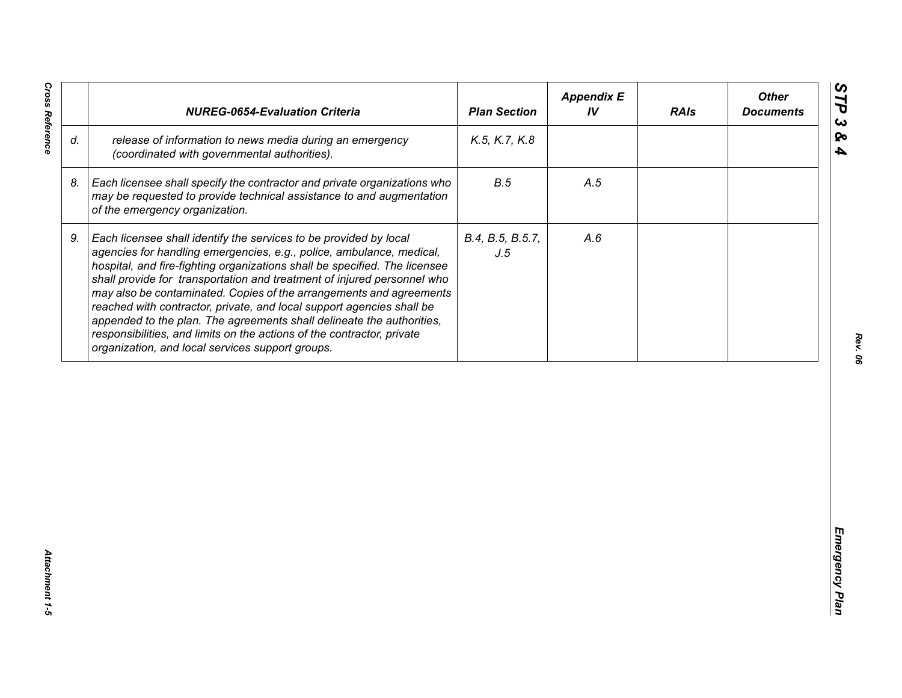| release of information to news media during an emergency<br>K.5, K.7, K.8<br>(coordinated with governmental authorities).<br>B.5<br>Each licensee shall specify the contractor and private organizations who<br>A.5<br>may be requested to provide technical assistance to and augmentation<br>of the emergency organization.<br>Each licensee shall identify the services to be provided by local<br>B.4, B.5, B.5.7,<br>A.6<br>agencies for handling emergencies, e.g., police, ambulance, medical,<br>J.5<br>hospital, and fire-fighting organizations shall be specified. The licensee<br>shall provide for transportation and treatment of injured personnel who<br>may also be contaminated. Copies of the arrangements and agreements<br>reached with contractor, private, and local support agencies shall be | appended to the plan. The agreements shall delineate the authorities,<br>responsibilities, and limits on the actions of the contractor, private<br>organization, and local services support groups. |    | <b>NUREG-0654-Evaluation Criteria</b> | <b>Plan Section</b> | <b>Appendix E</b><br>IV | <b>RAIs</b> | <b>Other</b><br><b>Documents</b> |
|-----------------------------------------------------------------------------------------------------------------------------------------------------------------------------------------------------------------------------------------------------------------------------------------------------------------------------------------------------------------------------------------------------------------------------------------------------------------------------------------------------------------------------------------------------------------------------------------------------------------------------------------------------------------------------------------------------------------------------------------------------------------------------------------------------------------------|-----------------------------------------------------------------------------------------------------------------------------------------------------------------------------------------------------|----|---------------------------------------|---------------------|-------------------------|-------------|----------------------------------|
|                                                                                                                                                                                                                                                                                                                                                                                                                                                                                                                                                                                                                                                                                                                                                                                                                       |                                                                                                                                                                                                     | d. |                                       |                     |                         |             |                                  |
|                                                                                                                                                                                                                                                                                                                                                                                                                                                                                                                                                                                                                                                                                                                                                                                                                       |                                                                                                                                                                                                     | 8. |                                       |                     |                         |             |                                  |
|                                                                                                                                                                                                                                                                                                                                                                                                                                                                                                                                                                                                                                                                                                                                                                                                                       |                                                                                                                                                                                                     | 9. |                                       |                     |                         |             |                                  |
|                                                                                                                                                                                                                                                                                                                                                                                                                                                                                                                                                                                                                                                                                                                                                                                                                       |                                                                                                                                                                                                     |    |                                       |                     |                         |             |                                  |
|                                                                                                                                                                                                                                                                                                                                                                                                                                                                                                                                                                                                                                                                                                                                                                                                                       |                                                                                                                                                                                                     |    |                                       |                     |                         |             |                                  |
|                                                                                                                                                                                                                                                                                                                                                                                                                                                                                                                                                                                                                                                                                                                                                                                                                       |                                                                                                                                                                                                     |    |                                       |                     |                         |             |                                  |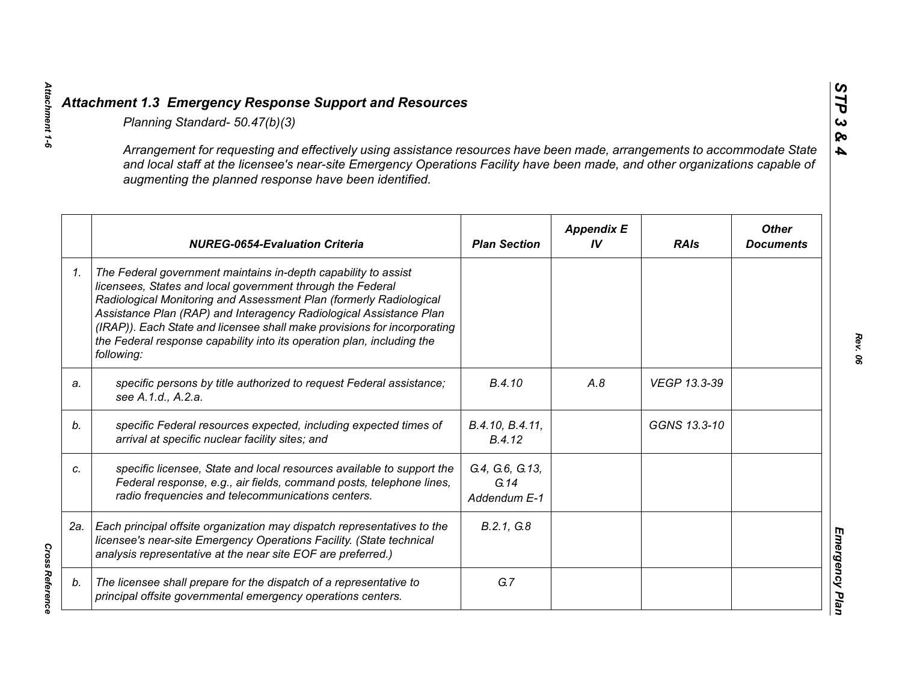|    | Planning Standard- 50.47(b)(3)                                                                                                                                                                                                                                                                                                                                                                                                               |                                         |                         |              |                                  |
|----|----------------------------------------------------------------------------------------------------------------------------------------------------------------------------------------------------------------------------------------------------------------------------------------------------------------------------------------------------------------------------------------------------------------------------------------------|-----------------------------------------|-------------------------|--------------|----------------------------------|
|    | Arrangement for requesting and effectively using assistance resources have been made, arrangements to accommodate State<br>and local staff at the licensee's near-site Emergency Operations Facility have been made, and other organizations capable of<br>augmenting the planned response have been identified.                                                                                                                             |                                         |                         |              |                                  |
|    | <b>NUREG-0654-Evaluation Criteria</b>                                                                                                                                                                                                                                                                                                                                                                                                        | <b>Plan Section</b>                     | <b>Appendix E</b><br>IV | <b>RAIs</b>  | <b>Other</b><br><b>Documents</b> |
| 1. | The Federal government maintains in-depth capability to assist<br>licensees, States and local government through the Federal<br>Radiological Monitoring and Assessment Plan (formerly Radiological<br>Assistance Plan (RAP) and Interagency Radiological Assistance Plan<br>(IRAP)). Each State and licensee shall make provisions for incorporating<br>the Federal response capability into its operation plan, including the<br>following: |                                         |                         |              |                                  |
| a. | specific persons by title authorized to request Federal assistance;<br>see A.1.d., A.2.a.                                                                                                                                                                                                                                                                                                                                                    | B.4.10                                  | A.8                     | VEGP 13.3-39 |                                  |
| b. | specific Federal resources expected, including expected times of<br>arrival at specific nuclear facility sites; and                                                                                                                                                                                                                                                                                                                          | B.4.10, B.4.11,<br>B.4.12               |                         | GGNS 13.3-10 |                                  |
| c. | specific licensee, State and local resources available to support the<br>Federal response, e.g., air fields, command posts, telephone lines,<br>radio frequencies and telecommunications centers.                                                                                                                                                                                                                                            | G.4, G.6, G.13,<br>G.14<br>Addendum E-1 |                         |              |                                  |
|    | 2a.   Each principal offsite organization may dispatch representatives to the<br>licensee's near-site Emergency Operations Facility. (State technical<br>analysis representative at the near site EOF are preferred.)                                                                                                                                                                                                                        | B.2.1, G.8                              |                         |              |                                  |
| b. | The licensee shall prepare for the dispatch of a representative to<br>principal offsite governmental emergency operations centers.                                                                                                                                                                                                                                                                                                           | G.7                                     |                         |              |                                  |

**Cross Reference** *Cross Reference* 

*Attachment 1-6*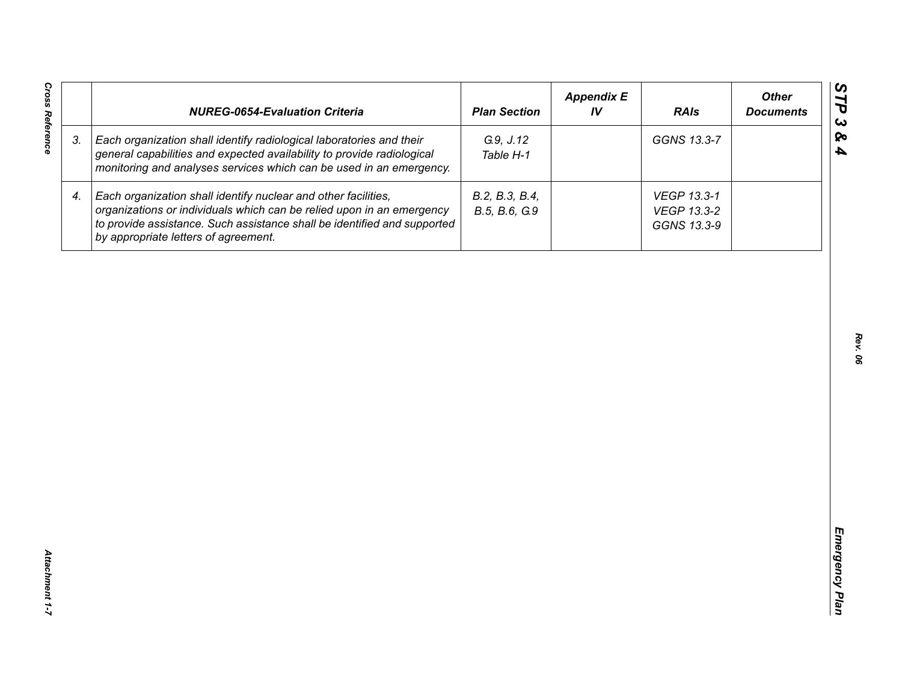| <b>Cross Reference</b> | <b>NUREG-0654-Evaluation Criteria</b>                                                                                                                                                                                                                       | <b>Plan Section</b>             | <b>Appendix E</b><br>IV | <b>RAIs</b>                               | <b>Other</b><br><b>Documents</b> |
|------------------------|-------------------------------------------------------------------------------------------------------------------------------------------------------------------------------------------------------------------------------------------------------------|---------------------------------|-------------------------|-------------------------------------------|----------------------------------|
| 3.                     | Each organization shall identify radiological laboratories and their<br>general capabilities and expected availability to provide radiological<br>monitoring and analyses services which can be used in an emergency.                                       | G.9, J.12<br>Table H-1          |                         | GGNS 13.3-7                               |                                  |
| 4.                     | Each organization shall identify nuclear and other facilities,<br>organizations or individuals which can be relied upon in an emergency<br>to provide assistance. Such assistance shall be identified and supported<br>by appropriate letters of agreement. | B.2, B.3, B.4,<br>B.5, B.6, G.9 |                         | VEGP 13.3-1<br>VEGP 13.3-2<br>GGNS 13.3-9 |                                  |
|                        |                                                                                                                                                                                                                                                             |                                 |                         |                                           |                                  |
|                        |                                                                                                                                                                                                                                                             |                                 |                         |                                           |                                  |
|                        |                                                                                                                                                                                                                                                             |                                 |                         |                                           |                                  |
|                        |                                                                                                                                                                                                                                                             |                                 |                         |                                           |                                  |
|                        |                                                                                                                                                                                                                                                             |                                 |                         |                                           |                                  |
|                        |                                                                                                                                                                                                                                                             |                                 |                         |                                           |                                  |
| Attachment 1-7         |                                                                                                                                                                                                                                                             |                                 |                         |                                           |                                  |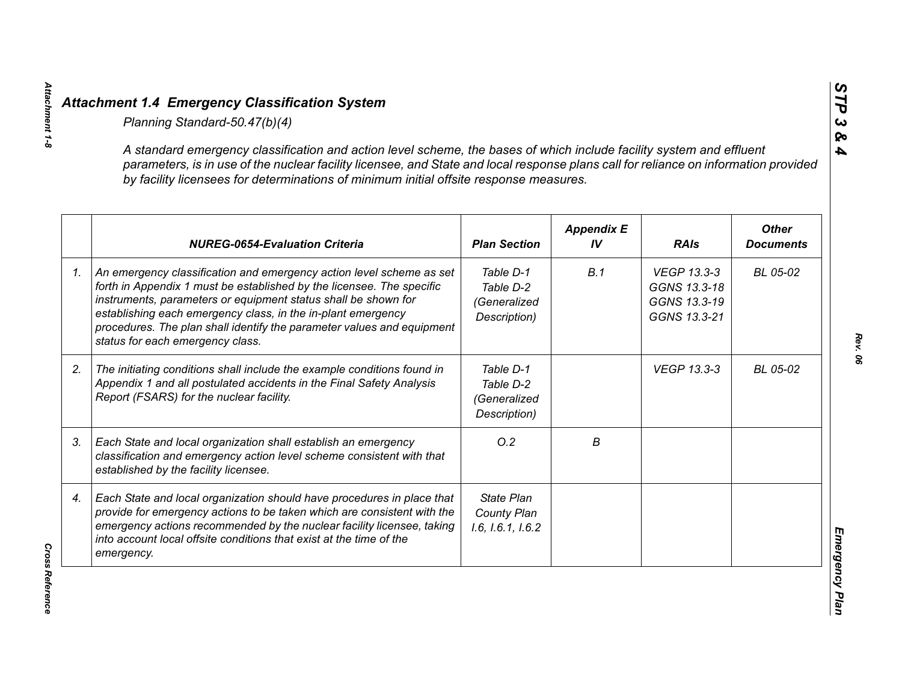| A standard emergency classification and action level scheme, the bases of which include facility system and effluent<br>parameters, is in use of the nuclear facility licensee, and State and local response plans call for reliance on information provided<br>by facility licensees for determinations of minimum initial offsite response measures.                                        |                                                        |                         |                                                             |                                  |
|-----------------------------------------------------------------------------------------------------------------------------------------------------------------------------------------------------------------------------------------------------------------------------------------------------------------------------------------------------------------------------------------------|--------------------------------------------------------|-------------------------|-------------------------------------------------------------|----------------------------------|
| <b>NUREG-0654-Evaluation Criteria</b>                                                                                                                                                                                                                                                                                                                                                         | <b>Plan Section</b>                                    | <b>Appendix E</b><br>IV | <b>RAIs</b>                                                 | <b>Other</b><br><b>Documents</b> |
| An emergency classification and emergency action level scheme as set<br>forth in Appendix 1 must be established by the licensee. The specific<br>instruments, parameters or equipment status shall be shown for<br>establishing each emergency class, in the in-plant emergency<br>procedures. The plan shall identify the parameter values and equipment<br>status for each emergency class. | Table D-1<br>Table D-2<br>(Generalized<br>Description) | B.1                     | VEGP 13.3-3<br>GGNS 13.3-18<br>GGNS 13.3-19<br>GGNS 13.3-21 | BL 05-02                         |
| The initiating conditions shall include the example conditions found in<br>Appendix 1 and all postulated accidents in the Final Safety Analysis<br>Report (FSARS) for the nuclear facility.                                                                                                                                                                                                   | Table D-1<br>Table D-2<br>(Generalized<br>Description) |                         | <b>VEGP 13.3-3</b>                                          | BL 05-02                         |
| Each State and local organization shall establish an emergency<br>classification and emergency action level scheme consistent with that<br>established by the facility licensee.                                                                                                                                                                                                              | O.2                                                    | В                       |                                                             |                                  |
| Each State and local organization should have procedures in place that<br>provide for emergency actions to be taken which are consistent with the<br>emergency actions recommended by the nuclear facility licensee, taking<br>into account local offsite conditions that exist at the time of the<br>emergency.                                                                              | <b>State Plan</b><br>County Plan<br>1.6, 1.6.1, 1.6.2  |                         |                                                             |                                  |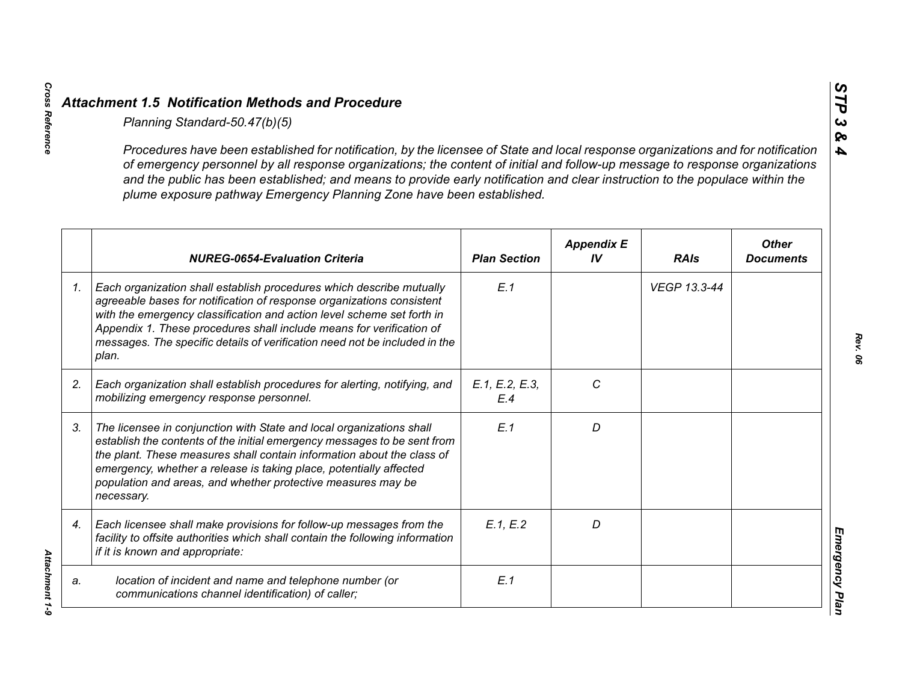|                 | Planning Standard-50.47(b)(5)                                                                                                                                                                                                                                                                                                                                                                                                                                               |                       |                         |              |                                  |
|-----------------|-----------------------------------------------------------------------------------------------------------------------------------------------------------------------------------------------------------------------------------------------------------------------------------------------------------------------------------------------------------------------------------------------------------------------------------------------------------------------------|-----------------------|-------------------------|--------------|----------------------------------|
|                 | Procedures have been established for notification, by the licensee of State and local response organizations and for notification<br>of emergency personnel by all response organizations; the content of initial and follow-up message to response organizations<br>and the public has been established; and means to provide early notification and clear instruction to the populace within the<br>plume exposure pathway Emergency Planning Zone have been established. |                       |                         |              |                                  |
|                 | <b>NUREG-0654-Evaluation Criteria</b>                                                                                                                                                                                                                                                                                                                                                                                                                                       | <b>Plan Section</b>   | <b>Appendix E</b><br>IV | <b>RAIs</b>  | <b>Other</b><br><b>Documents</b> |
| $\mathcal{I}$ . | Each organization shall establish procedures which describe mutually<br>agreeable bases for notification of response organizations consistent<br>with the emergency classification and action level scheme set forth in<br>Appendix 1. These procedures shall include means for verification of<br>messages. The specific details of verification need not be included in the<br>plan.                                                                                      | E.1                   |                         | VEGP 13.3-44 |                                  |
| 2.              | Each organization shall establish procedures for alerting, notifying, and<br>mobilizing emergency response personnel.                                                                                                                                                                                                                                                                                                                                                       | E.1, E.2, E.3,<br>E.4 | C                       |              |                                  |
| 3.              | The licensee in conjunction with State and local organizations shall<br>establish the contents of the initial emergency messages to be sent from<br>the plant. These measures shall contain information about the class of<br>emergency, whether a release is taking place, potentially affected<br>population and areas, and whether protective measures may be<br>necessary.                                                                                              | E.1                   | D                       |              |                                  |
| 4.              | Each licensee shall make provisions for follow-up messages from the<br>facility to offsite authorities which shall contain the following information<br>if it is known and appropriate:                                                                                                                                                                                                                                                                                     | E.1, E.2              | D                       |              |                                  |
| a.              | location of incident and name and telephone number (or<br>communications channel identification) of caller;                                                                                                                                                                                                                                                                                                                                                                 | E.1                   |                         |              |                                  |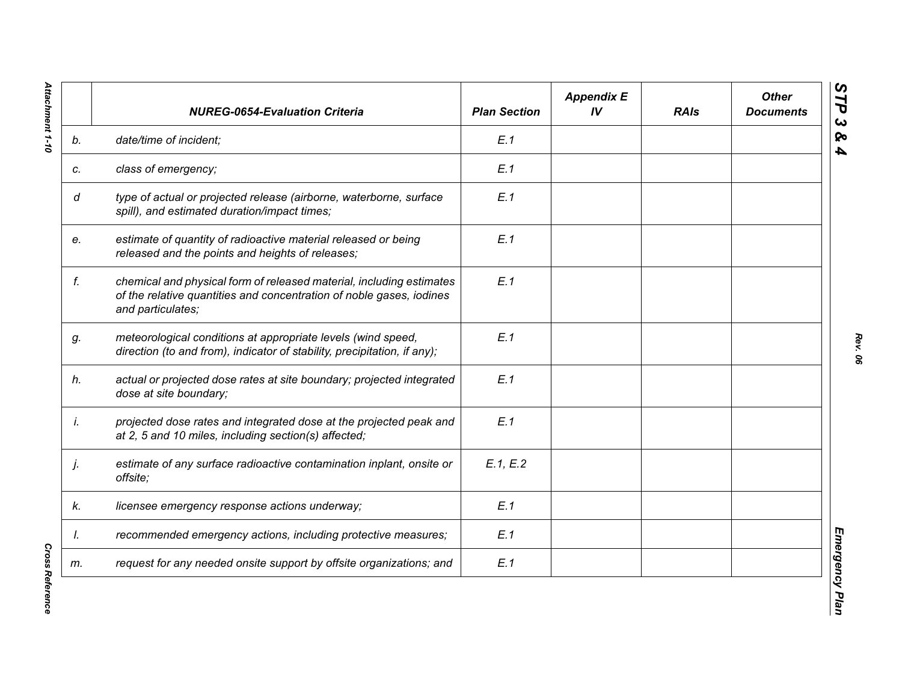|    | <b>NUREG-0654-Evaluation Criteria</b>                                                                                                                             | <b>Plan Section</b> | <b>Appendix E</b><br>IV | <b>RAIs</b> | <b>Other</b><br><b>Documents</b> |
|----|-------------------------------------------------------------------------------------------------------------------------------------------------------------------|---------------------|-------------------------|-------------|----------------------------------|
| b. | date/time of incident;                                                                                                                                            | E.1                 |                         |             |                                  |
| c. | class of emergency;                                                                                                                                               | E.1                 |                         |             |                                  |
| d  | type of actual or projected release (airborne, waterborne, surface<br>spill), and estimated duration/impact times;                                                | E.1                 |                         |             |                                  |
| e. | estimate of quantity of radioactive material released or being<br>released and the points and heights of releases;                                                | E.1                 |                         |             |                                  |
| f. | chemical and physical form of released material, including estimates<br>of the relative quantities and concentration of noble gases, iodines<br>and particulates; | E.1                 |                         |             |                                  |
| g. | meteorological conditions at appropriate levels (wind speed,<br>direction (to and from), indicator of stability, precipitation, if any);                          | E.1                 |                         |             |                                  |
| h. | actual or projected dose rates at site boundary; projected integrated<br>dose at site boundary;                                                                   | E.1                 |                         |             |                                  |
| İ. | projected dose rates and integrated dose at the projected peak and<br>at 2, 5 and 10 miles, including section(s) affected;                                        | E.1                 |                         |             |                                  |
| j. | estimate of any surface radioactive contamination inplant, onsite or<br>offsite;                                                                                  | E.1, E.2            |                         |             |                                  |
| k. | licensee emergency response actions underway;                                                                                                                     | E.1                 |                         |             |                                  |
| I. | recommended emergency actions, including protective measures;                                                                                                     | E.1                 |                         |             |                                  |
| m. | request for any needed onsite support by offsite organizations; and                                                                                               | E.1                 |                         |             |                                  |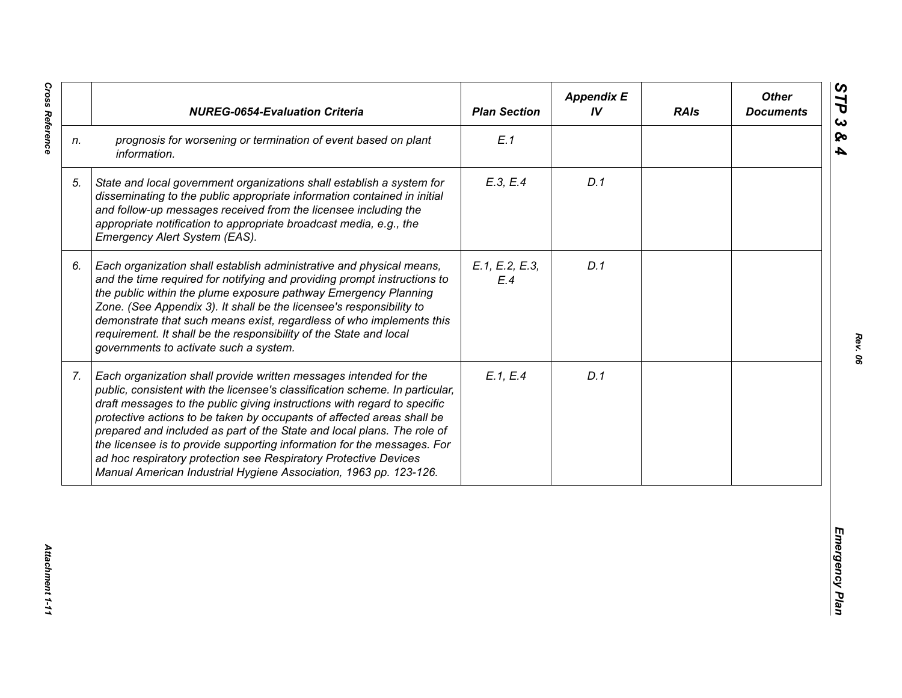|    | <b>NUREG-0654-Evaluation Criteria</b>                                                                                                                                                                                                                                                                                                                                                                                                                                                                                                                                                                  | <b>Plan Section</b>   | <b>Appendix E</b><br>IV | <b>RAIs</b> | <b>Other</b><br><b>Documents</b> |
|----|--------------------------------------------------------------------------------------------------------------------------------------------------------------------------------------------------------------------------------------------------------------------------------------------------------------------------------------------------------------------------------------------------------------------------------------------------------------------------------------------------------------------------------------------------------------------------------------------------------|-----------------------|-------------------------|-------------|----------------------------------|
| n. | prognosis for worsening or termination of event based on plant<br>information.                                                                                                                                                                                                                                                                                                                                                                                                                                                                                                                         | E.1                   |                         |             |                                  |
| 5. | State and local government organizations shall establish a system for<br>disseminating to the public appropriate information contained in initial<br>and follow-up messages received from the licensee including the<br>appropriate notification to appropriate broadcast media, e.g., the<br>Emergency Alert System (EAS).                                                                                                                                                                                                                                                                            | E.3, E.4              | D.1                     |             |                                  |
| 6. | Each organization shall establish administrative and physical means,<br>and the time required for notifying and providing prompt instructions to<br>the public within the plume exposure pathway Emergency Planning<br>Zone. (See Appendix 3). It shall be the licensee's responsibility to<br>demonstrate that such means exist, regardless of who implements this<br>requirement. It shall be the responsibility of the State and local<br>governments to activate such a system.                                                                                                                    | E.1, E.2, E.3,<br>E.4 | D.1                     |             |                                  |
| 7. | Each organization shall provide written messages intended for the<br>public, consistent with the licensee's classification scheme. In particular,<br>draft messages to the public giving instructions with regard to specific<br>protective actions to be taken by occupants of affected areas shall be<br>prepared and included as part of the State and local plans. The role of<br>the licensee is to provide supporting information for the messages. For<br>ad hoc respiratory protection see Respiratory Protective Devices<br>Manual American Industrial Hygiene Association, 1963 pp. 123-126. | E.1, E.4              | D.1                     |             |                                  |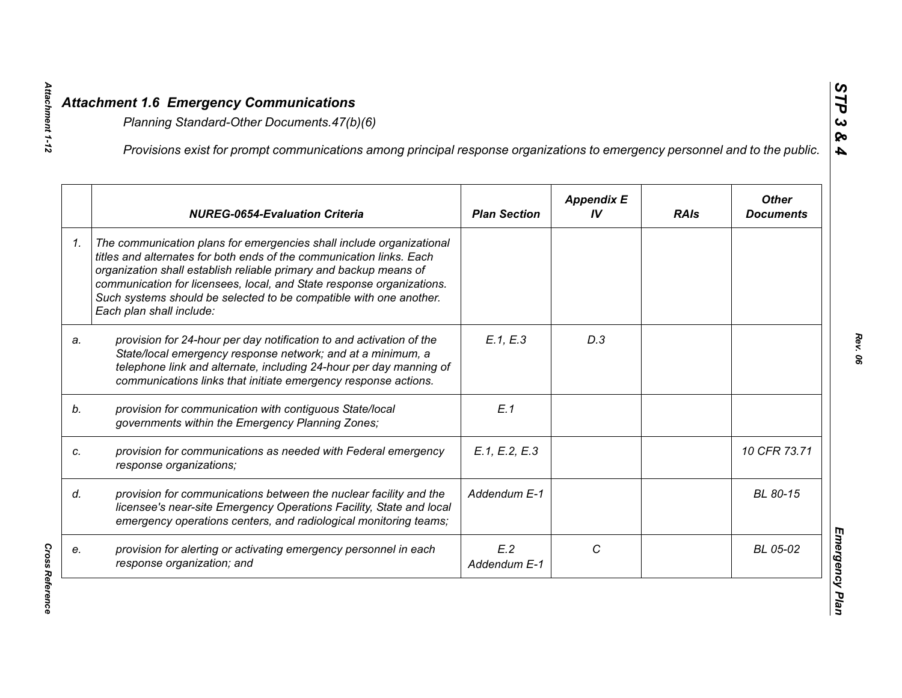|    | Provisions exist for prompt communications among principal response organizations to emergency personnel and to the public.                                                                                                                                                                                                                                                                  |                     |                         |             |                                  |
|----|----------------------------------------------------------------------------------------------------------------------------------------------------------------------------------------------------------------------------------------------------------------------------------------------------------------------------------------------------------------------------------------------|---------------------|-------------------------|-------------|----------------------------------|
|    | <b>NUREG-0654-Evaluation Criteria</b>                                                                                                                                                                                                                                                                                                                                                        | <b>Plan Section</b> | <b>Appendix E</b><br>IV | <b>RAIs</b> | <b>Other</b><br><b>Documents</b> |
| 1. | The communication plans for emergencies shall include organizational<br>titles and alternates for both ends of the communication links. Each<br>organization shall establish reliable primary and backup means of<br>communication for licensees, local, and State response organizations.<br>Such systems should be selected to be compatible with one another.<br>Each plan shall include: |                     |                         |             |                                  |
| a. | provision for 24-hour per day notification to and activation of the<br>State/local emergency response network; and at a minimum, a<br>telephone link and alternate, including 24-hour per day manning of<br>communications links that initiate emergency response actions.                                                                                                                   | E.1, E.3            | D.3                     |             |                                  |
|    | provision for communication with contiguous State/local<br>governments within the Emergency Planning Zones;                                                                                                                                                                                                                                                                                  | E.1                 |                         |             |                                  |
|    | provision for communications as needed with Federal emergency<br>response organizations;                                                                                                                                                                                                                                                                                                     | E.1, E.2, E.3       |                         |             | 10 CFR 73.71                     |
|    | provision for communications between the nuclear facility and the<br>licensee's near-site Emergency Operations Facility, State and local<br>emergency operations centers, and radiological monitoring teams;                                                                                                                                                                                 | Addendum E-1        |                         |             | BL 80-15                         |
|    | provision for alerting or activating emergency personnel in each<br>response organization; and                                                                                                                                                                                                                                                                                               | E.2<br>Addendum E-1 | C                       |             | BL 05-02                         |

**Cross Reference** *Cross Reference* 

*Attachment 1-12*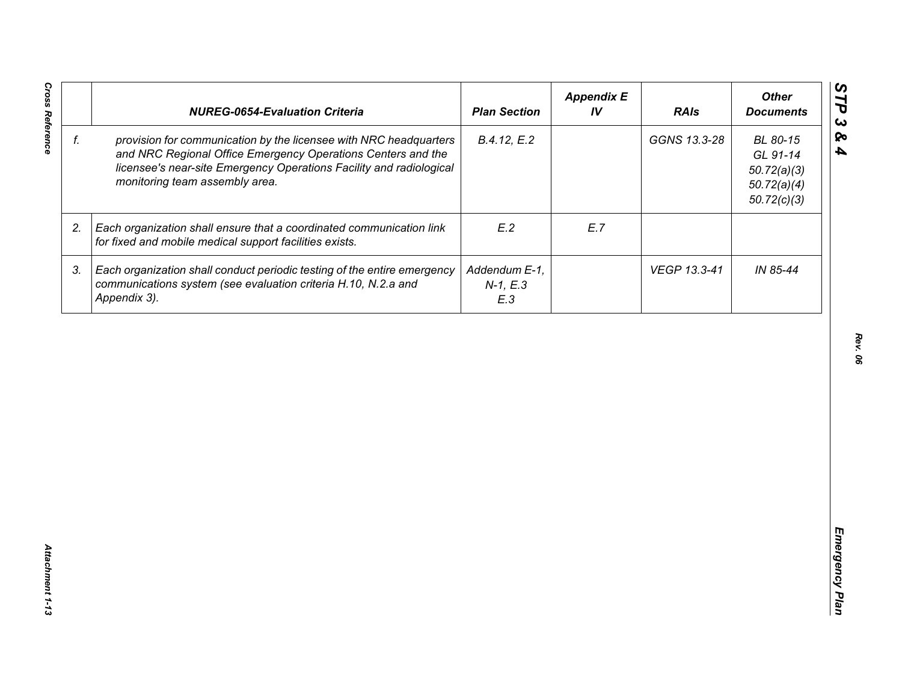| f.<br>provision for communication by the licensee with NRC headquarters<br>B.4.12, E.2<br>GGNS 13.3-28<br>BL 80-15<br>and NRC Regional Office Emergency Operations Centers and the<br>GL 91-14<br>licensee's near-site Emergency Operations Facility and radiological<br>50.72(a)(3)<br>monitoring team assembly area.<br>50.72(a)(4)<br>50.72(c)(3)<br>E.2<br>E.7<br>2.<br>Each organization shall ensure that a coordinated communication link<br>for fixed and mobile medical support facilities exists.<br>IN 85-44<br>3.<br>Each organization shall conduct periodic testing of the entire emergency<br>Addendum E-1,<br>VEGP 13.3-41<br>communications system (see evaluation criteria H.10, N.2.a and<br>$N-1, E.3$<br>Appendix 3). | <b>NUREG-0654-Evaluation Criteria</b> | <b>Plan Section</b> | <b>Appendix E</b><br>IV | <b>RAIs</b> | <b>Other</b><br><b>Documents</b> |
|--------------------------------------------------------------------------------------------------------------------------------------------------------------------------------------------------------------------------------------------------------------------------------------------------------------------------------------------------------------------------------------------------------------------------------------------------------------------------------------------------------------------------------------------------------------------------------------------------------------------------------------------------------------------------------------------------------------------------------------------|---------------------------------------|---------------------|-------------------------|-------------|----------------------------------|
|                                                                                                                                                                                                                                                                                                                                                                                                                                                                                                                                                                                                                                                                                                                                            |                                       |                     |                         |             |                                  |
|                                                                                                                                                                                                                                                                                                                                                                                                                                                                                                                                                                                                                                                                                                                                            |                                       |                     |                         |             |                                  |
|                                                                                                                                                                                                                                                                                                                                                                                                                                                                                                                                                                                                                                                                                                                                            |                                       | E.3                 |                         |             |                                  |
|                                                                                                                                                                                                                                                                                                                                                                                                                                                                                                                                                                                                                                                                                                                                            |                                       |                     |                         |             |                                  |
|                                                                                                                                                                                                                                                                                                                                                                                                                                                                                                                                                                                                                                                                                                                                            |                                       |                     |                         |             |                                  |
|                                                                                                                                                                                                                                                                                                                                                                                                                                                                                                                                                                                                                                                                                                                                            |                                       |                     |                         |             |                                  |
|                                                                                                                                                                                                                                                                                                                                                                                                                                                                                                                                                                                                                                                                                                                                            |                                       |                     |                         |             |                                  |
|                                                                                                                                                                                                                                                                                                                                                                                                                                                                                                                                                                                                                                                                                                                                            |                                       |                     |                         |             |                                  |
|                                                                                                                                                                                                                                                                                                                                                                                                                                                                                                                                                                                                                                                                                                                                            |                                       |                     |                         |             |                                  |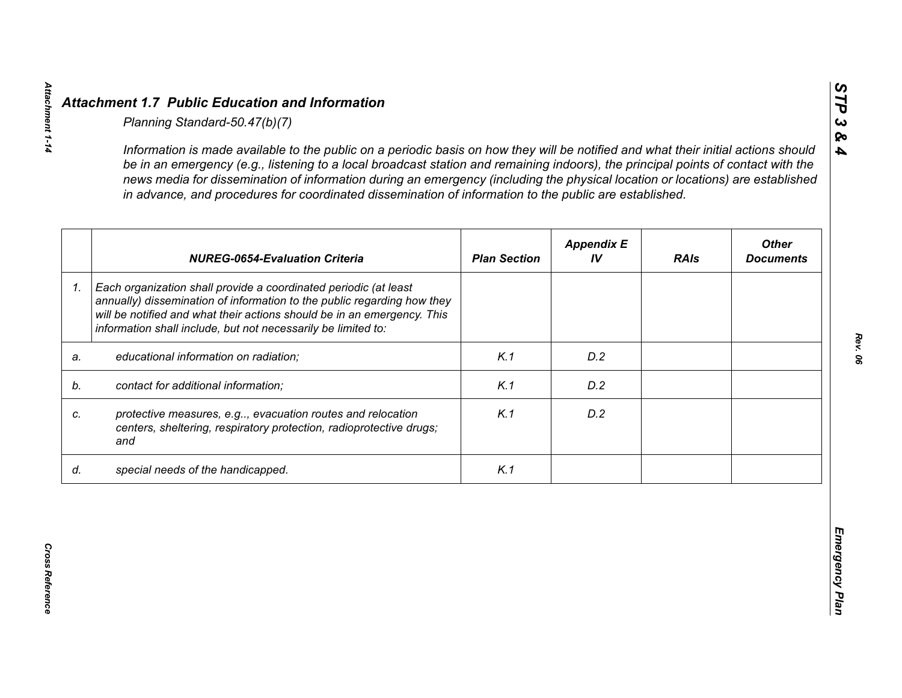|    | <b>NUREG-0654-Evaluation Criteria</b>                                                                                                                                                                                                                                                   | <b>Plan Section</b> | <b>Appendix E</b><br>IV | <b>RAIs</b> | <b>Other</b><br><b>Documents</b> |
|----|-----------------------------------------------------------------------------------------------------------------------------------------------------------------------------------------------------------------------------------------------------------------------------------------|---------------------|-------------------------|-------------|----------------------------------|
| 1. | Each organization shall provide a coordinated periodic (at least<br>annually) dissemination of information to the public regarding how they<br>will be notified and what their actions should be in an emergency. This<br>information shall include, but not necessarily be limited to: |                     |                         |             |                                  |
| a. | educational information on radiation;                                                                                                                                                                                                                                                   | K.1                 | D.2                     |             |                                  |
| b. | contact for additional information;                                                                                                                                                                                                                                                     | K.1                 | D.2                     |             |                                  |
|    | protective measures, e.g, evacuation routes and relocation<br>centers, sheltering, respiratory protection, radioprotective drugs;<br>and                                                                                                                                                | K.1                 | D.2                     |             |                                  |
| d. | special needs of the handicapped.                                                                                                                                                                                                                                                       | K.1                 |                         |             |                                  |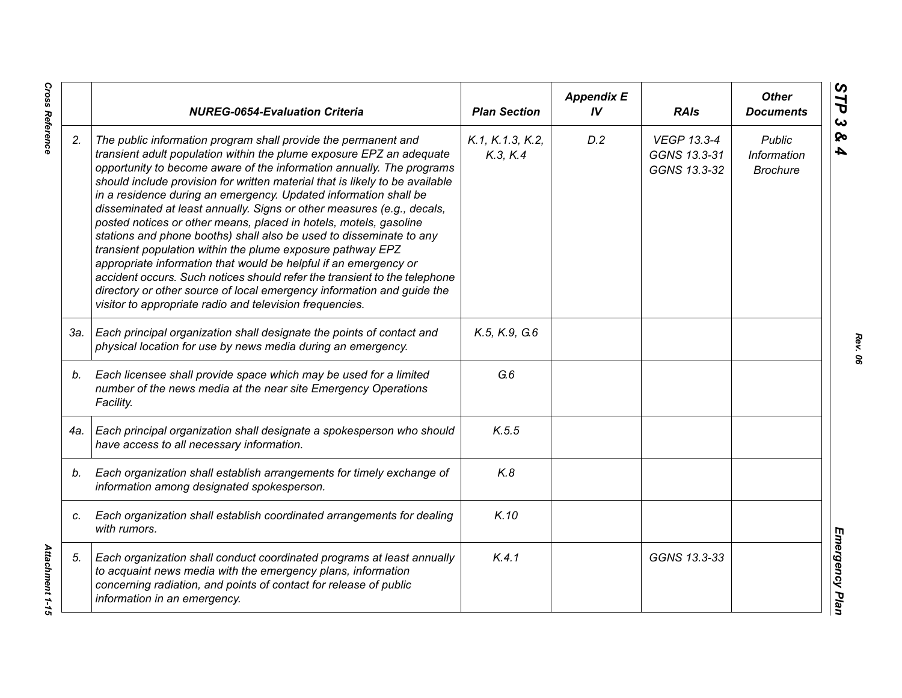|     | <b>NUREG-0654-Evaluation Criteria</b>                                                                                                                                                                                                                                                                                                                                                                                                                                                                                                                                                                                                                                                                                                                                                                                                                                                                                                          | <b>Plan Section</b>          | <b>Appendix E</b><br>IV | <b>RAIs</b>                                        | <b>Other</b><br><b>Documents</b>                |
|-----|------------------------------------------------------------------------------------------------------------------------------------------------------------------------------------------------------------------------------------------------------------------------------------------------------------------------------------------------------------------------------------------------------------------------------------------------------------------------------------------------------------------------------------------------------------------------------------------------------------------------------------------------------------------------------------------------------------------------------------------------------------------------------------------------------------------------------------------------------------------------------------------------------------------------------------------------|------------------------------|-------------------------|----------------------------------------------------|-------------------------------------------------|
| 2.  | The public information program shall provide the permanent and<br>transient adult population within the plume exposure EPZ an adequate<br>opportunity to become aware of the information annually. The programs<br>should include provision for written material that is likely to be available<br>in a residence during an emergency. Updated information shall be<br>disseminated at least annually. Signs or other measures (e.g., decals,<br>posted notices or other means, placed in hotels, motels, gasoline<br>stations and phone booths) shall also be used to disseminate to any<br>transient population within the plume exposure pathway EPZ<br>appropriate information that would be helpful if an emergency or<br>accident occurs. Such notices should refer the transient to the telephone<br>directory or other source of local emergency information and guide the<br>visitor to appropriate radio and television frequencies. | K.1, K.1.3, K.2,<br>K.3, K.4 | D.2                     | <b>VEGP 13.3-4</b><br>GGNS 13.3-31<br>GGNS 13.3-32 | <b>Public</b><br>Information<br><b>Brochure</b> |
| 3а. | Each principal organization shall designate the points of contact and<br>physical location for use by news media during an emergency.                                                                                                                                                                                                                                                                                                                                                                                                                                                                                                                                                                                                                                                                                                                                                                                                          | K.5, K.9, G.6                |                         |                                                    |                                                 |
| b.  | Each licensee shall provide space which may be used for a limited<br>number of the news media at the near site Emergency Operations<br>Facility.                                                                                                                                                                                                                                                                                                                                                                                                                                                                                                                                                                                                                                                                                                                                                                                               | G.6                          |                         |                                                    |                                                 |
| 4a. | Each principal organization shall designate a spokesperson who should<br>have access to all necessary information.                                                                                                                                                                                                                                                                                                                                                                                                                                                                                                                                                                                                                                                                                                                                                                                                                             | K.5.5                        |                         |                                                    |                                                 |
| b.  | Each organization shall establish arrangements for timely exchange of<br>information among designated spokesperson.                                                                                                                                                                                                                                                                                                                                                                                                                                                                                                                                                                                                                                                                                                                                                                                                                            | K.8                          |                         |                                                    |                                                 |
| C.  | Each organization shall establish coordinated arrangements for dealing<br>with rumors.                                                                                                                                                                                                                                                                                                                                                                                                                                                                                                                                                                                                                                                                                                                                                                                                                                                         | K.10                         |                         |                                                    |                                                 |
| 5.  | Each organization shall conduct coordinated programs at least annually<br>to acquaint news media with the emergency plans, information<br>concerning radiation, and points of contact for release of public<br>information in an emergency.                                                                                                                                                                                                                                                                                                                                                                                                                                                                                                                                                                                                                                                                                                    | K.4.1                        |                         | GGNS 13.3-33                                       |                                                 |

**Cross Reference** *Cross Reference Attachment 1-15*

Attachment 1-15

*Rev. 06*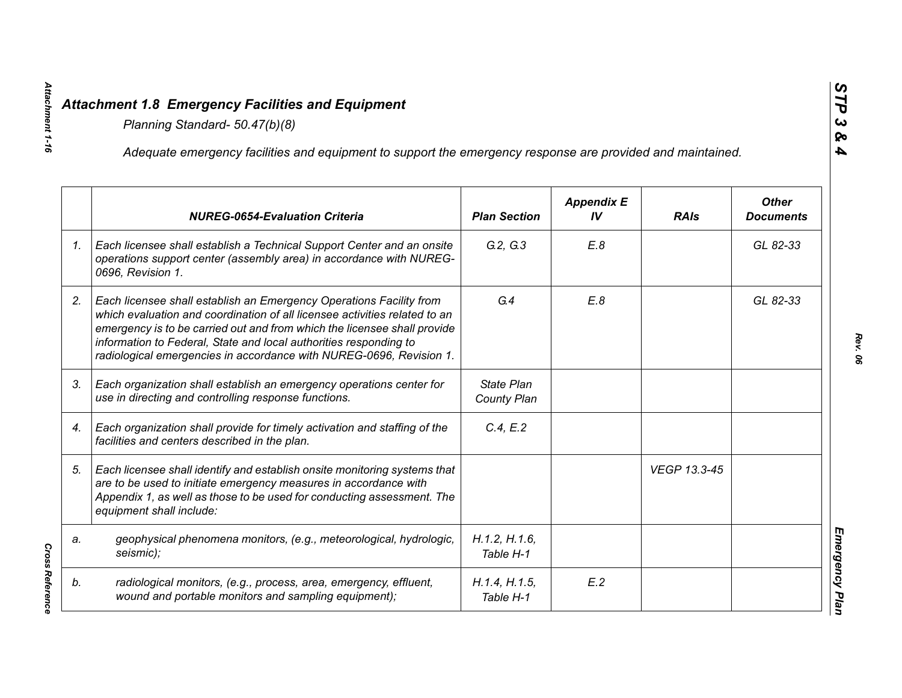|    | Adequate emergency facilities and equipment to support the emergency response are provided and maintained.                                                                                                                                                                                                                                                                |                            |                         |              |                                  |
|----|---------------------------------------------------------------------------------------------------------------------------------------------------------------------------------------------------------------------------------------------------------------------------------------------------------------------------------------------------------------------------|----------------------------|-------------------------|--------------|----------------------------------|
|    | <b>NUREG-0654-Evaluation Criteria</b>                                                                                                                                                                                                                                                                                                                                     | <b>Plan Section</b>        | <b>Appendix E</b><br>IV | <b>RAIs</b>  | <b>Other</b><br><b>Documents</b> |
| 1. | Each licensee shall establish a Technical Support Center and an onsite<br>operations support center (assembly area) in accordance with NUREG-<br>0696, Revision 1.                                                                                                                                                                                                        | G.2, G.3                   | E.8                     |              | GL 82-33                         |
| 2. | Each licensee shall establish an Emergency Operations Facility from<br>which evaluation and coordination of all licensee activities related to an<br>emergency is to be carried out and from which the licensee shall provide<br>information to Federal, State and local authorities responding to<br>radiological emergencies in accordance with NUREG-0696, Revision 1. | G.4                        | E.8                     |              | GL 82-33                         |
| 3. | Each organization shall establish an emergency operations center for<br>use in directing and controlling response functions.                                                                                                                                                                                                                                              | State Plan<br>County Plan  |                         |              |                                  |
| 4. | Each organization shall provide for timely activation and staffing of the<br>facilities and centers described in the plan.                                                                                                                                                                                                                                                | C.4, E.2                   |                         |              |                                  |
| 5. | Each licensee shall identify and establish onsite monitoring systems that<br>are to be used to initiate emergency measures in accordance with<br>Appendix 1, as well as those to be used for conducting assessment. The<br>equipment shall include:                                                                                                                       |                            |                         | VEGP 13.3-45 |                                  |
| a. | geophysical phenomena monitors, (e.g., meteorological, hydrologic,<br>seismic);                                                                                                                                                                                                                                                                                           | H.1.2, H.1.6,<br>Table H-1 |                         |              |                                  |
| b. | radiological monitors, (e.g., process, area, emergency, effluent,<br>wound and portable monitors and sampling equipment);                                                                                                                                                                                                                                                 | H.1.4, H.1.5,<br>Table H-1 | E.2                     |              |                                  |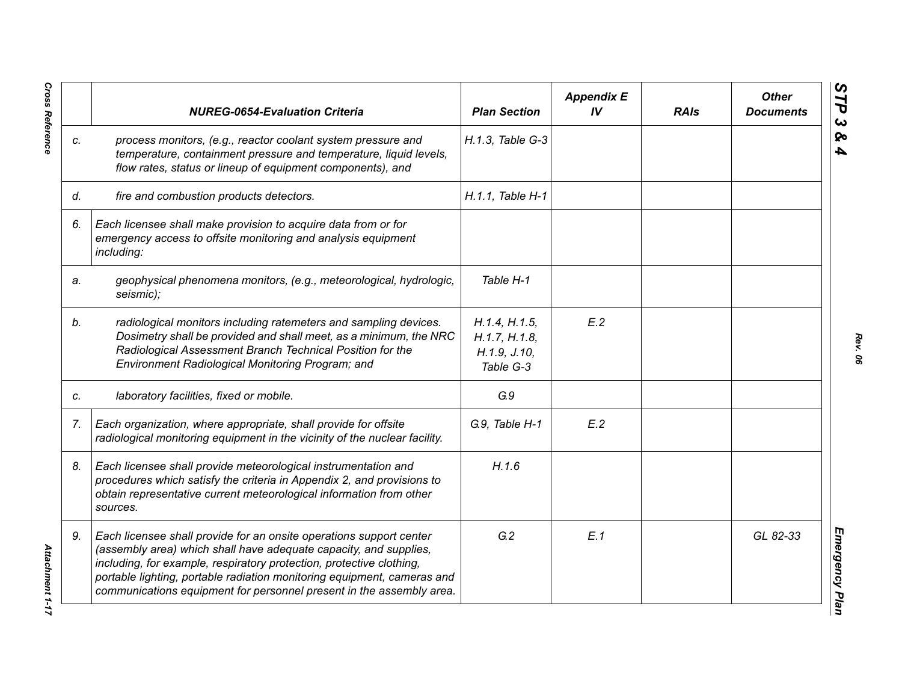|    | <b>NUREG-0654-Evaluation Criteria</b>                                                                                                                                                                                                                                                                                                                               | <b>Plan Section</b>                                         | <b>Appendix E</b><br>IV | <b>RAIs</b> | <b>Other</b><br><b>Documents</b> |
|----|---------------------------------------------------------------------------------------------------------------------------------------------------------------------------------------------------------------------------------------------------------------------------------------------------------------------------------------------------------------------|-------------------------------------------------------------|-------------------------|-------------|----------------------------------|
| C. | process monitors, (e.g., reactor coolant system pressure and<br>temperature, containment pressure and temperature, liquid levels,<br>flow rates, status or lineup of equipment components), and                                                                                                                                                                     | H.1.3, Table G-3                                            |                         |             |                                  |
| d. | fire and combustion products detectors.                                                                                                                                                                                                                                                                                                                             | H.1.1. Table H-1                                            |                         |             |                                  |
| 6. | Each licensee shall make provision to acquire data from or for<br>emergency access to offsite monitoring and analysis equipment<br>including:                                                                                                                                                                                                                       |                                                             |                         |             |                                  |
| a. | geophysical phenomena monitors, (e.g., meteorological, hydrologic,<br>seismic);                                                                                                                                                                                                                                                                                     | Table H-1                                                   |                         |             |                                  |
| b. | radiological monitors including ratemeters and sampling devices.<br>Dosimetry shall be provided and shall meet, as a minimum, the NRC<br>Radiological Assessment Branch Technical Position for the<br>Environment Radiological Monitoring Program; and                                                                                                              | H.1.4, H.1.5,<br>H.1.7, H.1.8,<br>H.1.9, J.10,<br>Table G-3 | E.2                     |             |                                  |
| C. | laboratory facilities, fixed or mobile.                                                                                                                                                                                                                                                                                                                             | G.9                                                         |                         |             |                                  |
| 7. | Each organization, where appropriate, shall provide for offsite<br>radiological monitoring equipment in the vicinity of the nuclear facility.                                                                                                                                                                                                                       | G.9, Table H-1                                              | E.2                     |             |                                  |
| 8. | Each licensee shall provide meteorological instrumentation and<br>procedures which satisfy the criteria in Appendix 2, and provisions to<br>obtain representative current meteorological information from other<br>sources.                                                                                                                                         | H.1.6                                                       |                         |             |                                  |
| 9. | Each licensee shall provide for an onsite operations support center<br>(assembly area) which shall have adequate capacity, and supplies,<br>including, for example, respiratory protection, protective clothing,<br>portable lighting, portable radiation monitoring equipment, cameras and<br>communications equipment for personnel present in the assembly area. | G.2                                                         | E.1                     |             | GL 82-33                         |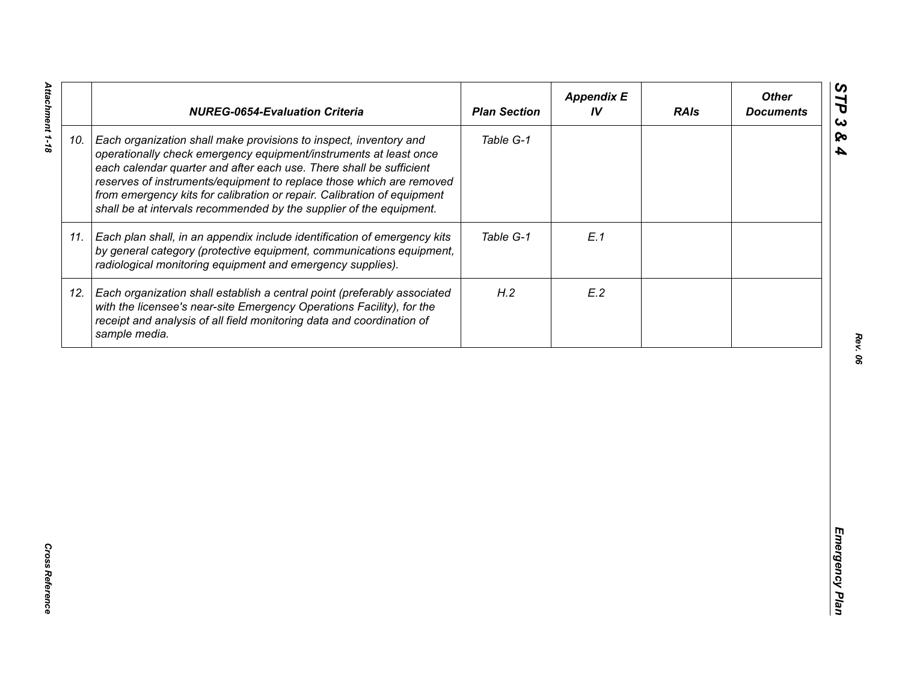|     | <b>NUREG-0654-Evaluation Criteria</b>                                                                                                                                                                                                                                                                                                                                                                                                   | <b>Plan Section</b> | <b>Appendix E</b><br>IV | <b>RAIs</b> | <b>Other</b><br><b>Documents</b> |
|-----|-----------------------------------------------------------------------------------------------------------------------------------------------------------------------------------------------------------------------------------------------------------------------------------------------------------------------------------------------------------------------------------------------------------------------------------------|---------------------|-------------------------|-------------|----------------------------------|
| 10. | Each organization shall make provisions to inspect, inventory and<br>operationally check emergency equipment/instruments at least once<br>each calendar quarter and after each use. There shall be sufficient<br>reserves of instruments/equipment to replace those which are removed<br>from emergency kits for calibration or repair. Calibration of equipment<br>shall be at intervals recommended by the supplier of the equipment. | Table G-1           |                         |             |                                  |
| 11. | Each plan shall, in an appendix include identification of emergency kits<br>by general category (protective equipment, communications equipment,<br>radiological monitoring equipment and emergency supplies).                                                                                                                                                                                                                          | Table G-1           | E.1                     |             |                                  |
| 12. | Each organization shall establish a central point (preferably associated<br>with the licensee's near-site Emergency Operations Facility), for the<br>receipt and analysis of all field monitoring data and coordination of<br>sample media.                                                                                                                                                                                             | H.2                 | E.2                     |             |                                  |
|     |                                                                                                                                                                                                                                                                                                                                                                                                                                         |                     |                         |             |                                  |
|     |                                                                                                                                                                                                                                                                                                                                                                                                                                         |                     |                         |             |                                  |
|     |                                                                                                                                                                                                                                                                                                                                                                                                                                         |                     |                         |             |                                  |
|     |                                                                                                                                                                                                                                                                                                                                                                                                                                         |                     |                         |             |                                  |
|     |                                                                                                                                                                                                                                                                                                                                                                                                                                         |                     |                         |             |                                  |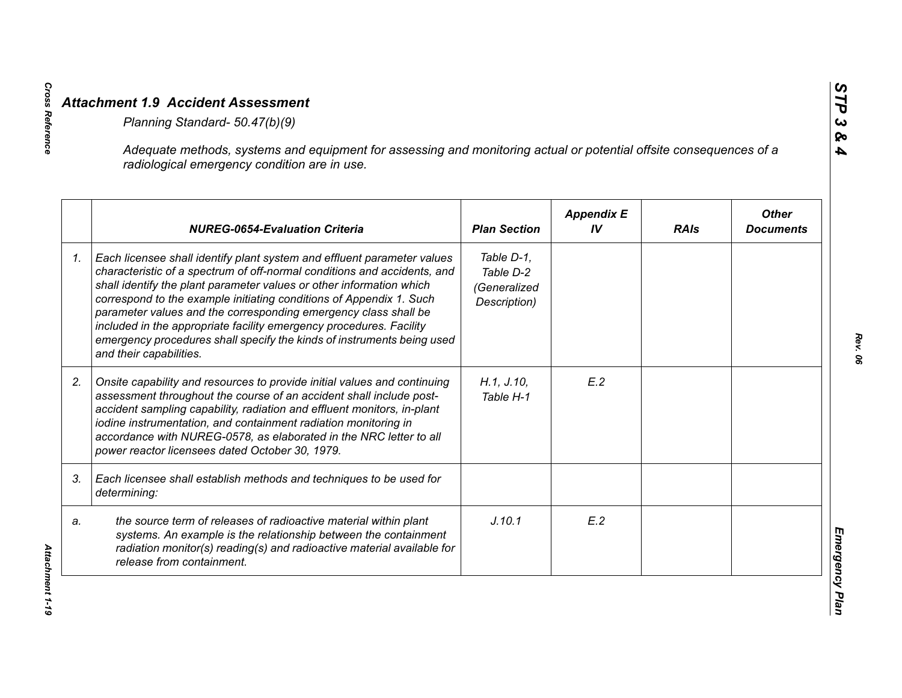|    | Adequate methods, systems and equipment for assessing and monitoring actual or potential offsite consequences of a<br>radiological emergency condition are in use.                                                                                                                                                                                                                                                                                                                                                                                |                                                         |                         |             |                                  |
|----|---------------------------------------------------------------------------------------------------------------------------------------------------------------------------------------------------------------------------------------------------------------------------------------------------------------------------------------------------------------------------------------------------------------------------------------------------------------------------------------------------------------------------------------------------|---------------------------------------------------------|-------------------------|-------------|----------------------------------|
|    | <b>NUREG-0654-Evaluation Criteria</b>                                                                                                                                                                                                                                                                                                                                                                                                                                                                                                             | <b>Plan Section</b>                                     | <b>Appendix E</b><br>IV | <b>RAIs</b> | <b>Other</b><br><b>Documents</b> |
| 1. | Each licensee shall identify plant system and effluent parameter values<br>characteristic of a spectrum of off-normal conditions and accidents, and<br>shall identify the plant parameter values or other information which<br>correspond to the example initiating conditions of Appendix 1. Such<br>parameter values and the corresponding emergency class shall be<br>included in the appropriate facility emergency procedures. Facility<br>emergency procedures shall specify the kinds of instruments being used<br>and their capabilities. | Table D-1,<br>Table D-2<br>(Generalized<br>Description) |                         |             |                                  |
| 2. | Onsite capability and resources to provide initial values and continuing<br>assessment throughout the course of an accident shall include post-<br>accident sampling capability, radiation and effluent monitors, in-plant<br>iodine instrumentation, and containment radiation monitoring in<br>accordance with NUREG-0578, as elaborated in the NRC letter to all<br>power reactor licensees dated October 30, 1979.                                                                                                                            | H.1, J.10,<br>Table H-1                                 | E.2                     |             |                                  |
| 3. | Each licensee shall establish methods and techniques to be used for<br>determining:                                                                                                                                                                                                                                                                                                                                                                                                                                                               |                                                         |                         |             |                                  |
| a. | the source term of releases of radioactive material within plant<br>systems. An example is the relationship between the containment<br>radiation monitor(s) reading(s) and radioactive material available for<br>release from containment.                                                                                                                                                                                                                                                                                                        | J.10.1                                                  | E.2                     |             |                                  |

**Cross Reference**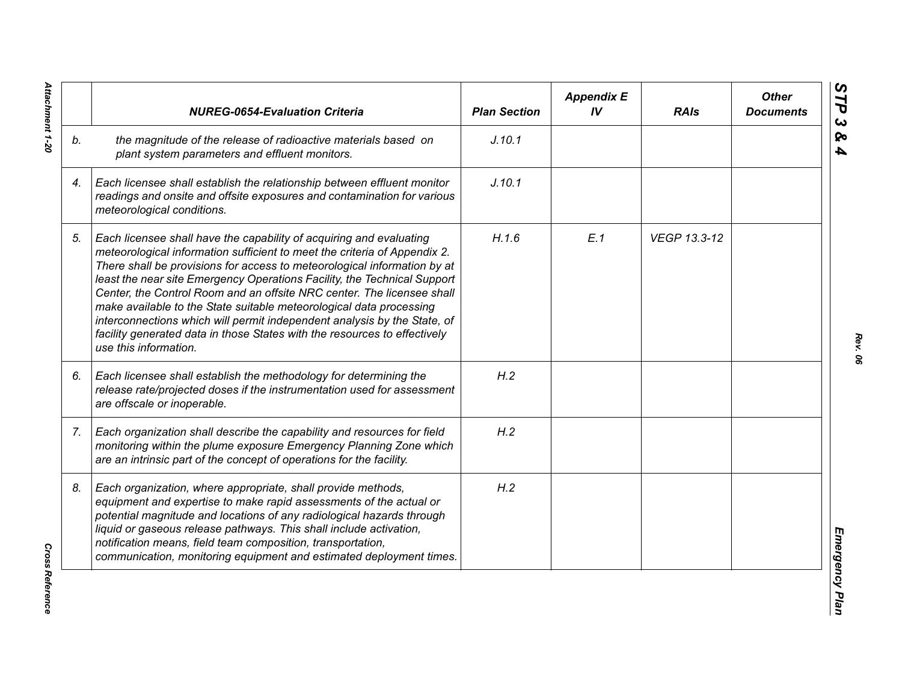|    | <b>NUREG-0654-Evaluation Criteria</b>                                                                                                                                                                                                                                                                                                                                                                                                                                                                                                                                                                                                       | <b>Plan Section</b> | <b>Appendix E</b><br>IV | <b>RAIs</b>  | <b>Other</b><br><b>Documents</b> |
|----|---------------------------------------------------------------------------------------------------------------------------------------------------------------------------------------------------------------------------------------------------------------------------------------------------------------------------------------------------------------------------------------------------------------------------------------------------------------------------------------------------------------------------------------------------------------------------------------------------------------------------------------------|---------------------|-------------------------|--------------|----------------------------------|
| b. | the magnitude of the release of radioactive materials based on<br>plant system parameters and effluent monitors.                                                                                                                                                                                                                                                                                                                                                                                                                                                                                                                            | J.10.1              |                         |              |                                  |
| 4. | Each licensee shall establish the relationship between effluent monitor<br>readings and onsite and offsite exposures and contamination for various<br>meteorological conditions.                                                                                                                                                                                                                                                                                                                                                                                                                                                            | J.10.1              |                         |              |                                  |
| 5. | Each licensee shall have the capability of acquiring and evaluating<br>meteorological information sufficient to meet the criteria of Appendix 2.<br>There shall be provisions for access to meteorological information by at<br>least the near site Emergency Operations Facility, the Technical Support<br>Center, the Control Room and an offsite NRC center. The licensee shall<br>make available to the State suitable meteorological data processing<br>interconnections which will permit independent analysis by the State, of<br>facility generated data in those States with the resources to effectively<br>use this information. | H.1.6               | E.1                     | VEGP 13.3-12 |                                  |
| 6. | Each licensee shall establish the methodology for determining the<br>release rate/projected doses if the instrumentation used for assessment<br>are offscale or inoperable.                                                                                                                                                                                                                                                                                                                                                                                                                                                                 | H.2                 |                         |              |                                  |
| 7. | Each organization shall describe the capability and resources for field<br>monitoring within the plume exposure Emergency Planning Zone which<br>are an intrinsic part of the concept of operations for the facility.                                                                                                                                                                                                                                                                                                                                                                                                                       | H.2                 |                         |              |                                  |
| 8. | Each organization, where appropriate, shall provide methods,<br>equipment and expertise to make rapid assessments of the actual or<br>potential magnitude and locations of any radiological hazards through<br>liquid or gaseous release pathways. This shall include activation,<br>notification means, field team composition, transportation,<br>communication, monitoring equipment and estimated deployment times.                                                                                                                                                                                                                     | H.2                 |                         |              |                                  |

Attachment 1-20 *Attachment 1-20*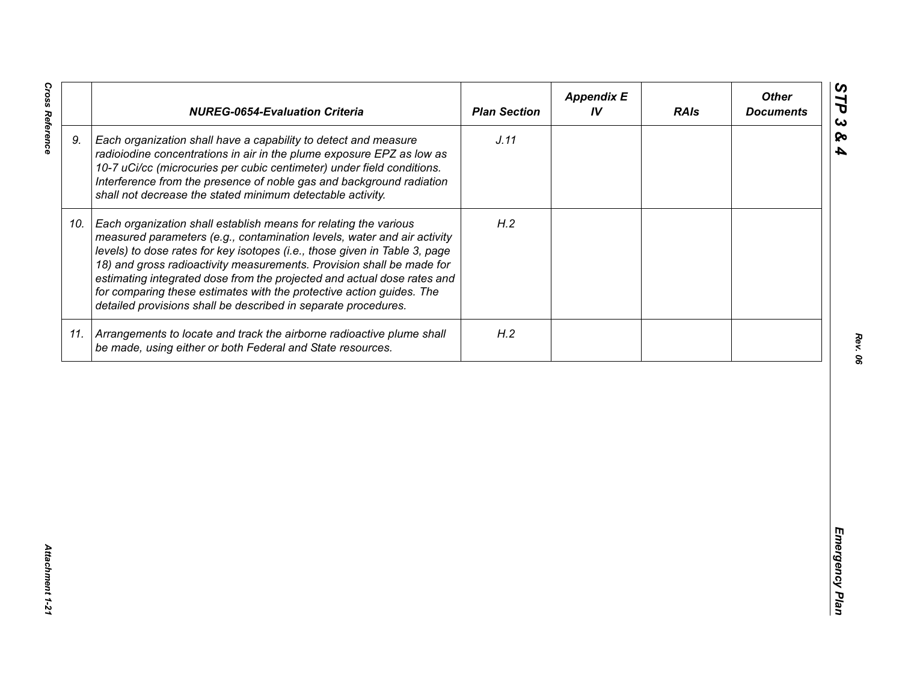| J.11<br>9.<br>Each organization shall have a capability to detect and measure<br>radioiodine concentrations in air in the plume exposure EPZ as low as<br>10-7 uCi/cc (microcuries per cubic centimeter) under field conditions.<br>Interference from the presence of noble gas and background radiation<br>shall not decrease the stated minimum detectable activity.<br>H.2<br>Each organization shall establish means for relating the various<br>10.<br>measured parameters (e.g., contamination levels, water and air activity<br>levels) to dose rates for key isotopes (i.e., those given in Table 3, page<br>18) and gross radioactivity measurements. Provision shall be made for<br>estimating integrated dose from the projected and actual dose rates and<br>for comparing these estimates with the protective action guides. The<br>detailed provisions shall be described in separate procedures. | H.2<br>11. Arrangements to locate and track the airborne radioactive plume shall<br>be made, using either or both Federal and State resources. | <b>NUREG-0654-Evaluation Criteria</b> | <b>Plan Section</b> | <b>Appendix E</b><br>IV | <b>RAIs</b> | <b>Other</b><br><b>Documents</b> |
|-----------------------------------------------------------------------------------------------------------------------------------------------------------------------------------------------------------------------------------------------------------------------------------------------------------------------------------------------------------------------------------------------------------------------------------------------------------------------------------------------------------------------------------------------------------------------------------------------------------------------------------------------------------------------------------------------------------------------------------------------------------------------------------------------------------------------------------------------------------------------------------------------------------------|------------------------------------------------------------------------------------------------------------------------------------------------|---------------------------------------|---------------------|-------------------------|-------------|----------------------------------|
|                                                                                                                                                                                                                                                                                                                                                                                                                                                                                                                                                                                                                                                                                                                                                                                                                                                                                                                 |                                                                                                                                                |                                       |                     |                         |             |                                  |
|                                                                                                                                                                                                                                                                                                                                                                                                                                                                                                                                                                                                                                                                                                                                                                                                                                                                                                                 |                                                                                                                                                |                                       |                     |                         |             |                                  |
|                                                                                                                                                                                                                                                                                                                                                                                                                                                                                                                                                                                                                                                                                                                                                                                                                                                                                                                 |                                                                                                                                                |                                       |                     |                         |             |                                  |
|                                                                                                                                                                                                                                                                                                                                                                                                                                                                                                                                                                                                                                                                                                                                                                                                                                                                                                                 |                                                                                                                                                |                                       |                     |                         |             |                                  |

**Cross Reference**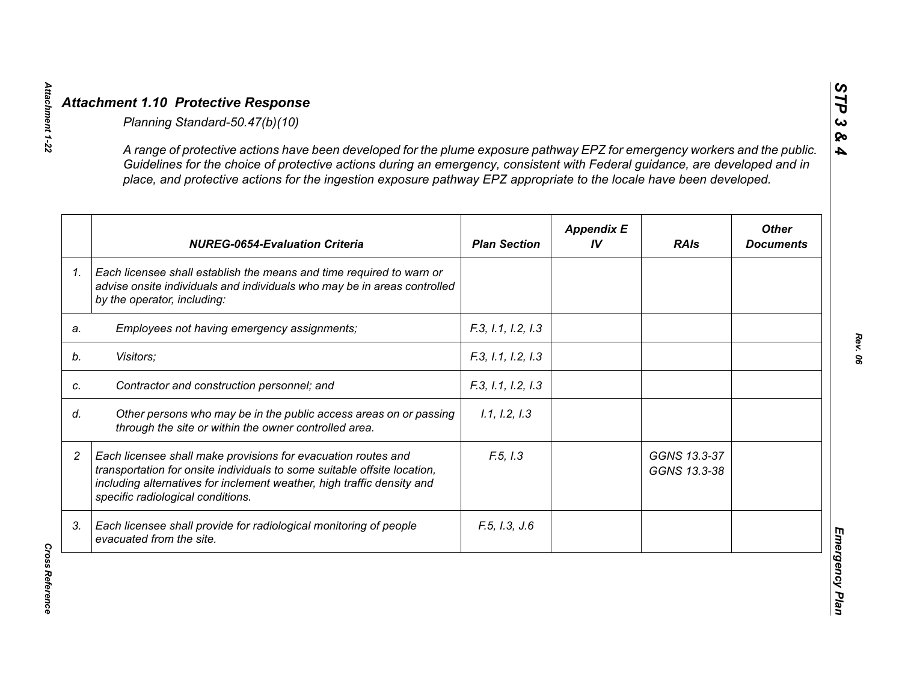|                | A range of protective actions have been developed for the plume exposure pathway EPZ for emergency workers and the public.<br>Guidelines for the choice of protective actions during an emergency, consistent with Federal guidance, are developed and in<br>place, and protective actions for the ingestion exposure pathway EPZ appropriate to the locale have been developed. |                     |                         |                              |                                  |
|----------------|----------------------------------------------------------------------------------------------------------------------------------------------------------------------------------------------------------------------------------------------------------------------------------------------------------------------------------------------------------------------------------|---------------------|-------------------------|------------------------------|----------------------------------|
|                | <b>NUREG-0654-Evaluation Criteria</b>                                                                                                                                                                                                                                                                                                                                            | <b>Plan Section</b> | <b>Appendix E</b><br>IV | <b>RAIs</b>                  | <b>Other</b><br><b>Documents</b> |
| 1 <sub>1</sub> | Each licensee shall establish the means and time required to warn or<br>advise onsite individuals and individuals who may be in areas controlled<br>by the operator, including:                                                                                                                                                                                                  |                     |                         |                              |                                  |
| a.             | Employees not having emergency assignments;                                                                                                                                                                                                                                                                                                                                      | F.3, 1.1, 1.2, 1.3  |                         |                              |                                  |
|                | Visitors;                                                                                                                                                                                                                                                                                                                                                                        | F.3, 1.1, 1.2, 1.3  |                         |                              |                                  |
|                | Contractor and construction personnel; and                                                                                                                                                                                                                                                                                                                                       | F.3, 1.1, 1.2, 1.3  |                         |                              |                                  |
|                | Other persons who may be in the public access areas on or passing<br>through the site or within the owner controlled area.                                                                                                                                                                                                                                                       | 1.1, 1.2, 1.3       |                         |                              |                                  |
|                | Each licensee shall make provisions for evacuation routes and<br>transportation for onsite individuals to some suitable offsite location,<br>including alternatives for inclement weather, high traffic density and<br>specific radiological conditions.                                                                                                                         | F.5, I.3            |                         | GGNS 13.3-37<br>GGNS 13.3-38 |                                  |
| 3.             | Each licensee shall provide for radiological monitoring of people<br>evacuated from the site.                                                                                                                                                                                                                                                                                    | F.5, I.3, J.6       |                         |                              |                                  |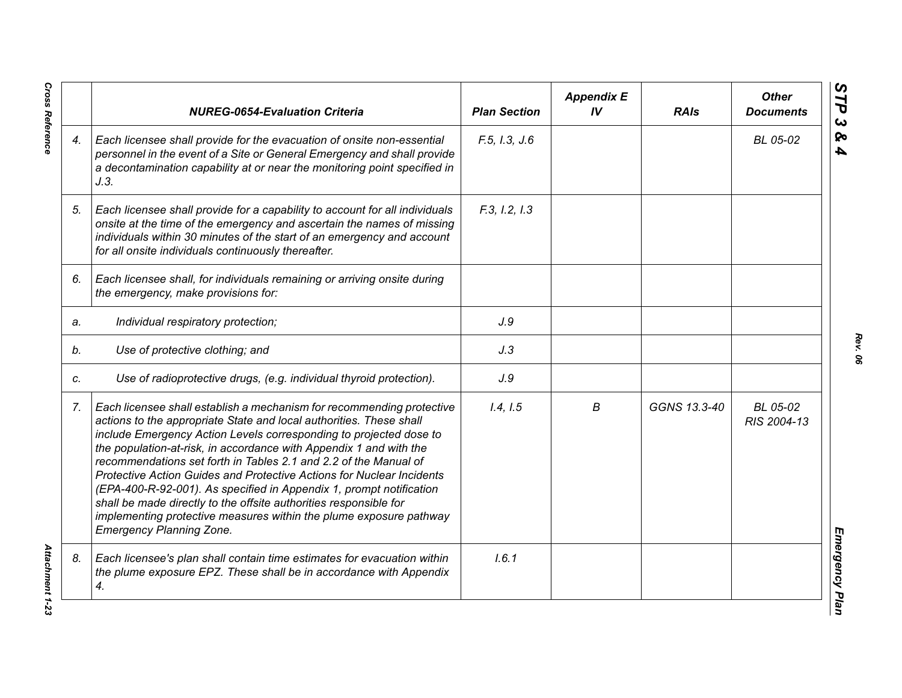|    | <b>NUREG-0654-Evaluation Criteria</b>                                                                                                                                                                                                                                                                                                                                                                                                                                                                                                                                                                                                                                                      | <b>Plan Section</b> | <b>Appendix E</b><br>IV | <b>RAIs</b>  | <b>Other</b><br><b>Documents</b> |
|----|--------------------------------------------------------------------------------------------------------------------------------------------------------------------------------------------------------------------------------------------------------------------------------------------------------------------------------------------------------------------------------------------------------------------------------------------------------------------------------------------------------------------------------------------------------------------------------------------------------------------------------------------------------------------------------------------|---------------------|-------------------------|--------------|----------------------------------|
| 4. | Each licensee shall provide for the evacuation of onsite non-essential<br>personnel in the event of a Site or General Emergency and shall provide<br>a decontamination capability at or near the monitoring point specified in<br>J.3.                                                                                                                                                                                                                                                                                                                                                                                                                                                     | F.5, I.3, J.6       |                         |              | BL 05-02                         |
| 5. | Each licensee shall provide for a capability to account for all individuals<br>onsite at the time of the emergency and ascertain the names of missing<br>individuals within 30 minutes of the start of an emergency and account<br>for all onsite individuals continuously thereafter.                                                                                                                                                                                                                                                                                                                                                                                                     | F.3, I.2, I.3       |                         |              |                                  |
| 6. | Each licensee shall, for individuals remaining or arriving onsite during<br>the emergency, make provisions for:                                                                                                                                                                                                                                                                                                                                                                                                                                                                                                                                                                            |                     |                         |              |                                  |
| a. | Individual respiratory protection;                                                                                                                                                                                                                                                                                                                                                                                                                                                                                                                                                                                                                                                         | J.9                 |                         |              |                                  |
| b. | Use of protective clothing; and                                                                                                                                                                                                                                                                                                                                                                                                                                                                                                                                                                                                                                                            | J.3                 |                         |              |                                  |
| C. | Use of radioprotective drugs, (e.g. individual thyroid protection).                                                                                                                                                                                                                                                                                                                                                                                                                                                                                                                                                                                                                        | J.9                 |                         |              |                                  |
| 7. | Each licensee shall establish a mechanism for recommending protective<br>actions to the appropriate State and local authorities. These shall<br>include Emergency Action Levels corresponding to projected dose to<br>the population-at-risk, in accordance with Appendix 1 and with the<br>recommendations set forth in Tables 2.1 and 2.2 of the Manual of<br>Protective Action Guides and Protective Actions for Nuclear Incidents<br>(EPA-400-R-92-001). As specified in Appendix 1, prompt notification<br>shall be made directly to the offsite authorities responsible for<br>implementing protective measures within the plume exposure pathway<br><b>Emergency Planning Zone.</b> | 1.4, 1.5            | В                       | GGNS 13.3-40 | BL 05-02<br>RIS 2004-13          |
| 8. | Each licensee's plan shall contain time estimates for evacuation within<br>the plume exposure EPZ. These shall be in accordance with Appendix<br>4.                                                                                                                                                                                                                                                                                                                                                                                                                                                                                                                                        | 1.6.1               |                         |              |                                  |

**Cross Reference** 

*Rev. 06*

*Cross Reference Attachment 1-23* **Attachment 1-23**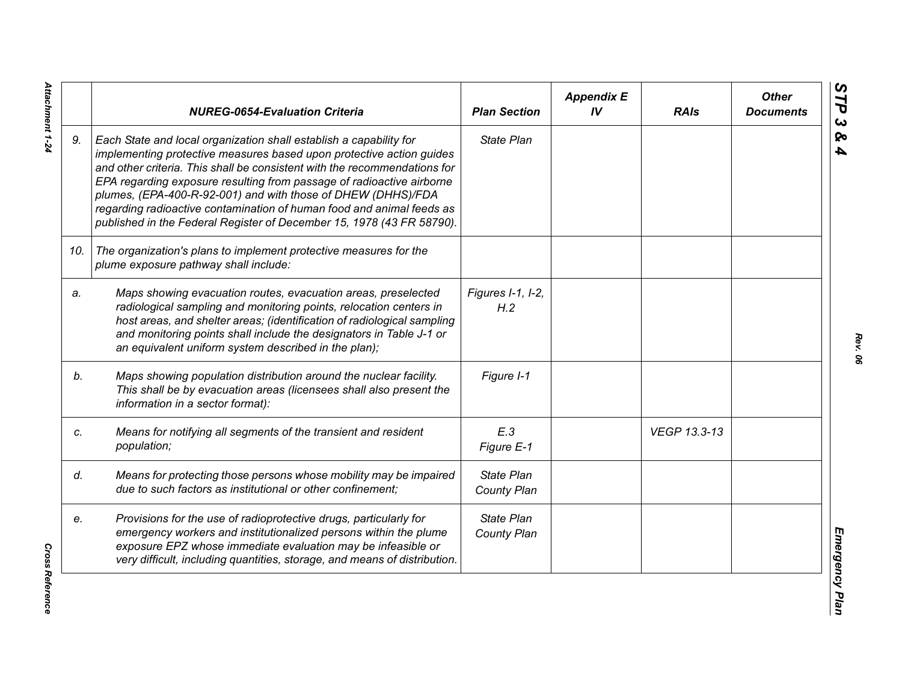|     | <b>NUREG-0654-Evaluation Criteria</b>                                                                                                                                                                                                                                                                                                                                                                                                                                                                              | <b>Plan Section</b>              | <b>Appendix E</b><br>IV | <b>RAIs</b>  | <b>Other</b><br><b>Documents</b> |
|-----|--------------------------------------------------------------------------------------------------------------------------------------------------------------------------------------------------------------------------------------------------------------------------------------------------------------------------------------------------------------------------------------------------------------------------------------------------------------------------------------------------------------------|----------------------------------|-------------------------|--------------|----------------------------------|
| 9.  | Each State and local organization shall establish a capability for<br>implementing protective measures based upon protective action guides<br>and other criteria. This shall be consistent with the recommendations for<br>EPA regarding exposure resulting from passage of radioactive airborne<br>plumes, (EPA-400-R-92-001) and with those of DHEW (DHHS)/FDA<br>regarding radioactive contamination of human food and animal feeds as<br>published in the Federal Register of December 15, 1978 (43 FR 58790). | State Plan                       |                         |              |                                  |
| 10. | The organization's plans to implement protective measures for the<br>plume exposure pathway shall include:                                                                                                                                                                                                                                                                                                                                                                                                         |                                  |                         |              |                                  |
| a.  | Maps showing evacuation routes, evacuation areas, preselected<br>radiological sampling and monitoring points, relocation centers in<br>host areas, and shelter areas; (identification of radiological sampling<br>and monitoring points shall include the designators in Table J-1 or<br>an equivalent uniform system described in the plan);                                                                                                                                                                      | Figures I-1, I-2,<br>H.2         |                         |              |                                  |
| b.  | Maps showing population distribution around the nuclear facility.<br>This shall be by evacuation areas (licensees shall also present the<br>information in a sector format):                                                                                                                                                                                                                                                                                                                                       | Figure I-1                       |                         |              |                                  |
| c.  | Means for notifying all segments of the transient and resident<br>population;                                                                                                                                                                                                                                                                                                                                                                                                                                      | E.3<br>Figure E-1                |                         | VEGP 13.3-13 |                                  |
| d.  | Means for protecting those persons whose mobility may be impaired<br>due to such factors as institutional or other confinement;                                                                                                                                                                                                                                                                                                                                                                                    | <b>State Plan</b><br>County Plan |                         |              |                                  |
| e.  | Provisions for the use of radioprotective drugs, particularly for<br>emergency workers and institutionalized persons within the plume<br>exposure EPZ whose immediate evaluation may be infeasible or<br>very difficult, including quantities, storage, and means of distribution.                                                                                                                                                                                                                                 | State Plan<br>County Plan        |                         |              |                                  |

Attachment 1-24 *Attachment 1-24*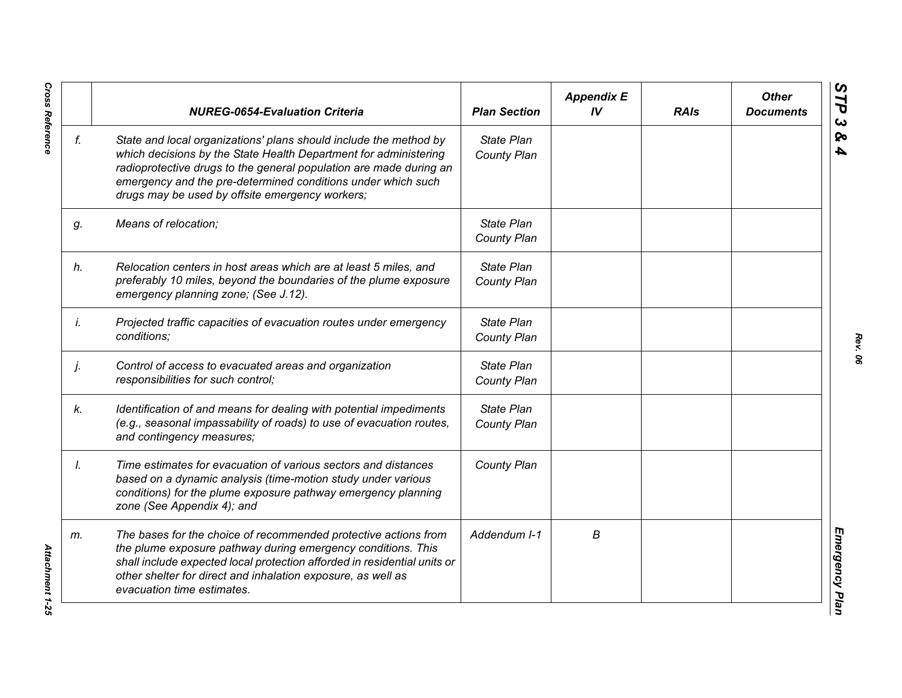|    | <b>NUREG-0654-Evaluation Criteria</b>                                                                                                                                                                                                                                                                                          | <b>Plan Section</b>              | <b>Appendix E</b><br>IV | <b>RAIs</b> | <b>Other</b><br><b>Documents</b> |
|----|--------------------------------------------------------------------------------------------------------------------------------------------------------------------------------------------------------------------------------------------------------------------------------------------------------------------------------|----------------------------------|-------------------------|-------------|----------------------------------|
| f. | State and local organizations' plans should include the method by<br>which decisions by the State Health Department for administering<br>radioprotective drugs to the general population are made during an<br>emergency and the pre-determined conditions under which such<br>drugs may be used by offsite emergency workers; | State Plan<br>County Plan        |                         |             |                                  |
| g. | Means of relocation;                                                                                                                                                                                                                                                                                                           | State Plan<br>County Plan        |                         |             |                                  |
| h. | Relocation centers in host areas which are at least 5 miles, and<br>preferably 10 miles, beyond the boundaries of the plume exposure<br>emergency planning zone; (See J.12).                                                                                                                                                   | State Plan<br>County Plan        |                         |             |                                  |
| İ. | Projected traffic capacities of evacuation routes under emergency<br>conditions;                                                                                                                                                                                                                                               | State Plan<br>County Plan        |                         |             |                                  |
| j. | Control of access to evacuated areas and organization<br>responsibilities for such control;                                                                                                                                                                                                                                    | State Plan<br>County Plan        |                         |             |                                  |
| k. | Identification of and means for dealing with potential impediments<br>(e.g., seasonal impassability of roads) to use of evacuation routes,<br>and contingency measures;                                                                                                                                                        | State Plan<br><b>County Plan</b> |                         |             |                                  |
| Ι. | Time estimates for evacuation of various sectors and distances<br>based on a dynamic analysis (time-motion study under various<br>conditions) for the plume exposure pathway emergency planning<br>zone (See Appendix 4); and                                                                                                  | County Plan                      |                         |             |                                  |
| m. | The bases for the choice of recommended protective actions from<br>the plume exposure pathway during emergency conditions. This<br>shall include expected local protection afforded in residential units or<br>other shelter for direct and inhalation exposure, as well as<br>evacuation time estimates.                      | Addendum I-1                     | B                       |             |                                  |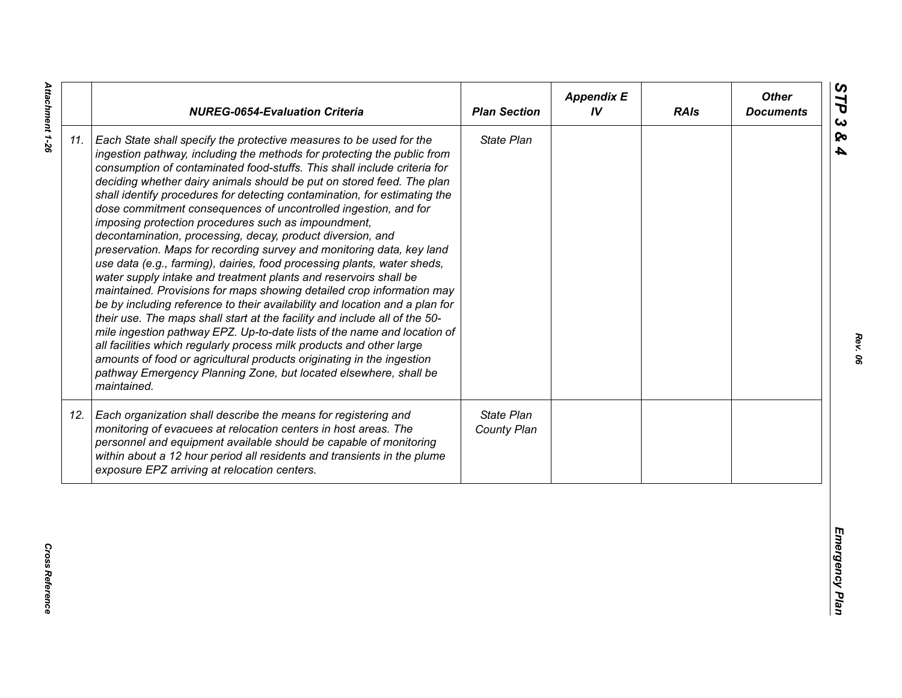| State Plan<br>Each State shall specify the protective measures to be used for the<br>ingestion pathway, including the methods for protecting the public from<br>consumption of contaminated food-stuffs. This shall include criteria for<br>deciding whether dairy animals should be put on stored feed. The plan<br>shall identify procedures for detecting contamination, for estimating the<br>dose commitment consequences of uncontrolled ingestion, and for<br>imposing protection procedures such as impoundment,<br>decontamination, processing, decay, product diversion, and<br>preservation. Maps for recording survey and monitoring data, key land<br>use data (e.g., farming), dairies, food processing plants, water sheds,<br>water supply intake and treatment plants and reservoirs shall be<br>maintained. Provisions for maps showing detailed crop information may<br>be by including reference to their availability and location and a plan for<br>their use. The maps shall start at the facility and include all of the 50-<br>mile ingestion pathway EPZ. Up-to-date lists of the name and location of<br>all facilities which regularly process milk products and other large<br>amounts of food or agricultural products originating in the ingestion<br>pathway Emergency Planning Zone, but located elsewhere, shall be<br>maintained.<br>State Plan<br>Each organization shall describe the means for registering and<br>monitoring of evacuees at relocation centers in host areas. The<br>County Plan<br>personnel and equipment available should be capable of monitoring<br>within about a 12 hour period all residents and transients in the plume<br>exposure EPZ arriving at relocation centers. |     | <b>NUREG-0654-Evaluation Criteria</b> | <b>Plan Section</b> | <b>Appendix E</b><br>IV | <b>RAIs</b> | <b>Other</b><br><b>Documents</b> |
|----------------------------------------------------------------------------------------------------------------------------------------------------------------------------------------------------------------------------------------------------------------------------------------------------------------------------------------------------------------------------------------------------------------------------------------------------------------------------------------------------------------------------------------------------------------------------------------------------------------------------------------------------------------------------------------------------------------------------------------------------------------------------------------------------------------------------------------------------------------------------------------------------------------------------------------------------------------------------------------------------------------------------------------------------------------------------------------------------------------------------------------------------------------------------------------------------------------------------------------------------------------------------------------------------------------------------------------------------------------------------------------------------------------------------------------------------------------------------------------------------------------------------------------------------------------------------------------------------------------------------------------------------------------------------------------------------------------------------------------|-----|---------------------------------------|---------------------|-------------------------|-------------|----------------------------------|
|                                                                                                                                                                                                                                                                                                                                                                                                                                                                                                                                                                                                                                                                                                                                                                                                                                                                                                                                                                                                                                                                                                                                                                                                                                                                                                                                                                                                                                                                                                                                                                                                                                                                                                                                        | 11. |                                       |                     |                         |             |                                  |
|                                                                                                                                                                                                                                                                                                                                                                                                                                                                                                                                                                                                                                                                                                                                                                                                                                                                                                                                                                                                                                                                                                                                                                                                                                                                                                                                                                                                                                                                                                                                                                                                                                                                                                                                        | 12. |                                       |                     |                         |             |                                  |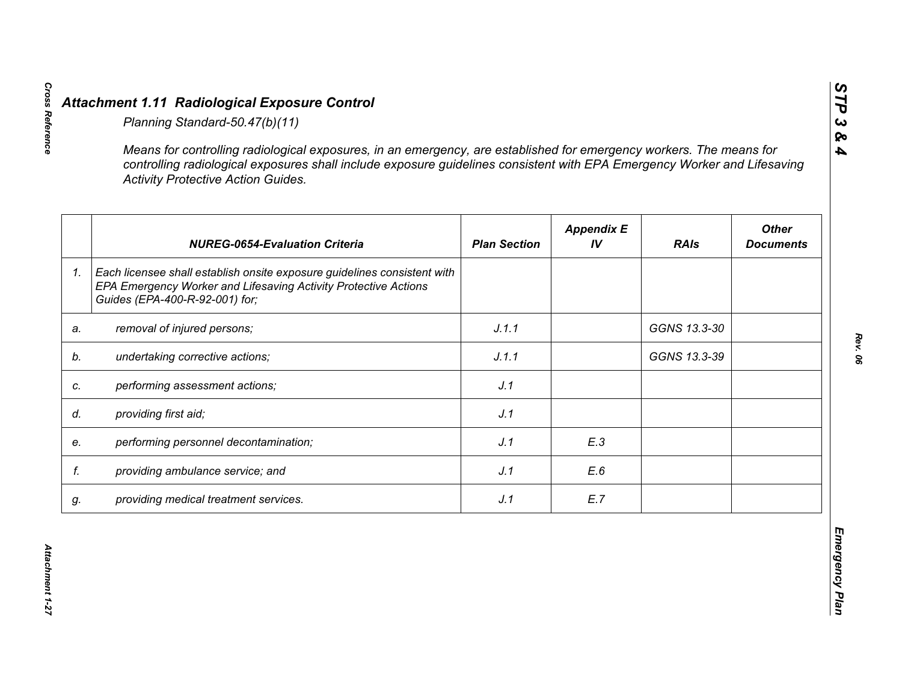|    | <b>Activity Protective Action Guides.</b>                                                                                                                                     |                     |                         |              |                                  |
|----|-------------------------------------------------------------------------------------------------------------------------------------------------------------------------------|---------------------|-------------------------|--------------|----------------------------------|
|    | <b>NUREG-0654-Evaluation Criteria</b>                                                                                                                                         | <b>Plan Section</b> | <b>Appendix E</b><br>IV | <b>RAIs</b>  | <b>Other</b><br><b>Documents</b> |
| 1. | Each licensee shall establish onsite exposure guidelines consistent with<br>EPA Emergency Worker and Lifesaving Activity Protective Actions<br>Guides (EPA-400-R-92-001) for; |                     |                         |              |                                  |
| a. | removal of injured persons;                                                                                                                                                   | J.1.1               |                         | GGNS 13.3-30 |                                  |
|    | undertaking corrective actions;                                                                                                                                               | J.1.1               |                         | GGNS 13.3-39 |                                  |
| C. | performing assessment actions;                                                                                                                                                | J.1                 |                         |              |                                  |
| d. | providing first aid;                                                                                                                                                          | J.1                 |                         |              |                                  |
| e. | performing personnel decontamination;                                                                                                                                         | J.1                 | E.3                     |              |                                  |
| f. | providing ambulance service; and                                                                                                                                              | J.1                 | E.6                     |              |                                  |
| g. | providing medical treatment services.                                                                                                                                         | J.1                 | E.7                     |              |                                  |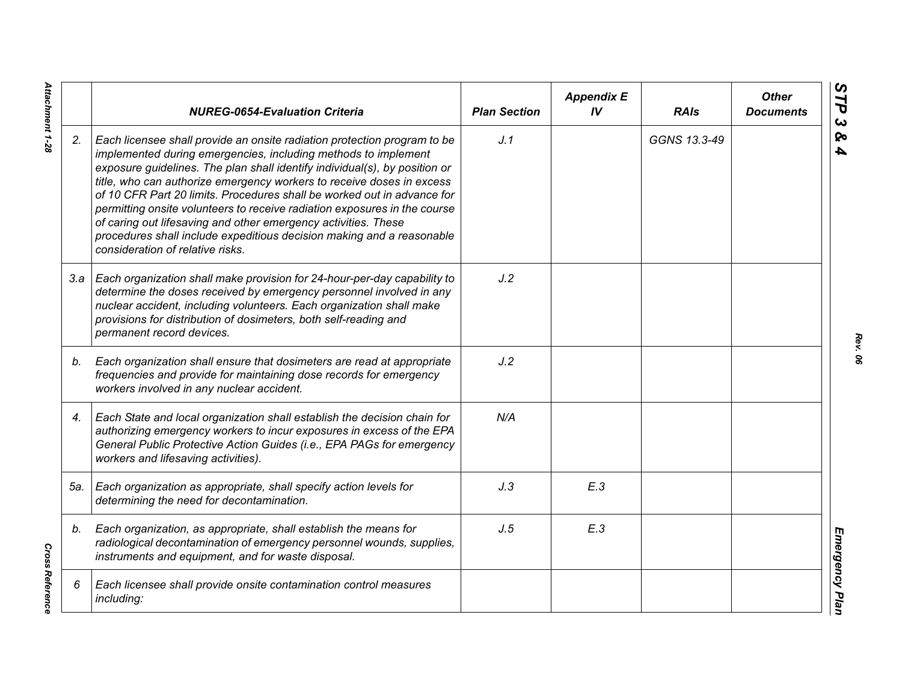|     | <b>NUREG-0654-Evaluation Criteria</b>                                                                                                                                                                                                                                                                                                                                                                                                                                                                                                                                                                                                    | <b>Plan Section</b> | <b>Appendix E</b><br>IV | <b>RAIs</b>  | <b>Other</b><br><b>Documents</b> |
|-----|------------------------------------------------------------------------------------------------------------------------------------------------------------------------------------------------------------------------------------------------------------------------------------------------------------------------------------------------------------------------------------------------------------------------------------------------------------------------------------------------------------------------------------------------------------------------------------------------------------------------------------------|---------------------|-------------------------|--------------|----------------------------------|
| 2.  | Each licensee shall provide an onsite radiation protection program to be<br>implemented during emergencies, including methods to implement<br>exposure guidelines. The plan shall identify individual(s), by position or<br>title, who can authorize emergency workers to receive doses in excess<br>of 10 CFR Part 20 limits. Procedures shall be worked out in advance for<br>permitting onsite volunteers to receive radiation exposures in the course<br>of caring out lifesaving and other emergency activities. These<br>procedures shall include expeditious decision making and a reasonable<br>consideration of relative risks. | J.1                 |                         | GGNS 13.3-49 |                                  |
|     | 3.a   Each organization shall make provision for 24-hour-per-day capability to<br>determine the doses received by emergency personnel involved in any<br>nuclear accident, including volunteers. Each organization shall make<br>provisions for distribution of dosimeters, both self-reading and<br>permanent record devices.                                                                                                                                                                                                                                                                                                           | J.2                 |                         |              |                                  |
| b.  | Each organization shall ensure that dosimeters are read at appropriate<br>frequencies and provide for maintaining dose records for emergency<br>workers involved in any nuclear accident.                                                                                                                                                                                                                                                                                                                                                                                                                                                | J.2                 |                         |              |                                  |
| 4.  | Each State and local organization shall establish the decision chain for<br>authorizing emergency workers to incur exposures in excess of the EPA<br>General Public Protective Action Guides (i.e., EPA PAGs for emergency<br>workers and lifesaving activities).                                                                                                                                                                                                                                                                                                                                                                        | N/A                 |                         |              |                                  |
| 5а. | Each organization as appropriate, shall specify action levels for<br>determining the need for decontamination.                                                                                                                                                                                                                                                                                                                                                                                                                                                                                                                           | J.3                 | E.3                     |              |                                  |
| b.  | Each organization, as appropriate, shall establish the means for<br>radiological decontamination of emergency personnel wounds, supplies,<br>instruments and equipment, and for waste disposal.                                                                                                                                                                                                                                                                                                                                                                                                                                          | J.5                 | E.3                     |              |                                  |
| 6   | Each licensee shall provide onsite contamination control measures<br>including:                                                                                                                                                                                                                                                                                                                                                                                                                                                                                                                                                          |                     |                         |              |                                  |

*Rev. 06*

Attachment 1-28 *Attachment 1-28*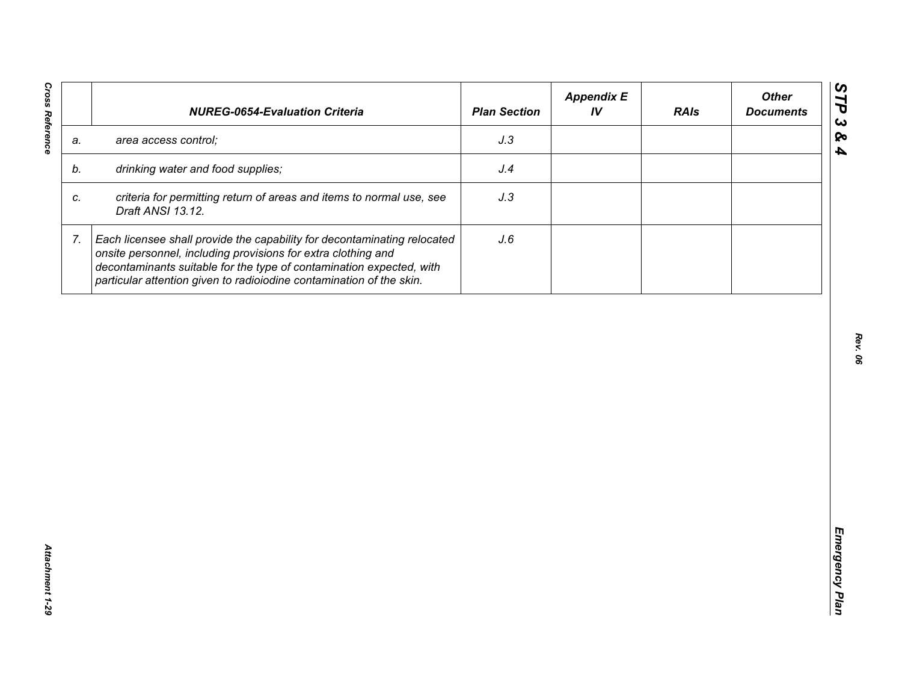| J.3<br>area access control;<br>a.<br>drinking water and food supplies;<br>J.4<br>b.<br>criteria for permitting return of areas and items to normal use, see<br>J.3<br>C.<br>Draft ANSI 13.12.<br>7.<br>Each licensee shall provide the capability for decontaminating relocated<br>J.6<br>onsite personnel, including provisions for extra clothing and |  | decontaminants suitable for the type of contamination expected, with |  |  |
|---------------------------------------------------------------------------------------------------------------------------------------------------------------------------------------------------------------------------------------------------------------------------------------------------------------------------------------------------------|--|----------------------------------------------------------------------|--|--|
|                                                                                                                                                                                                                                                                                                                                                         |  |                                                                      |  |  |
|                                                                                                                                                                                                                                                                                                                                                         |  |                                                                      |  |  |
|                                                                                                                                                                                                                                                                                                                                                         |  |                                                                      |  |  |
| particular attention given to radioiodine contamination of the skin.                                                                                                                                                                                                                                                                                    |  |                                                                      |  |  |
|                                                                                                                                                                                                                                                                                                                                                         |  |                                                                      |  |  |
|                                                                                                                                                                                                                                                                                                                                                         |  |                                                                      |  |  |
|                                                                                                                                                                                                                                                                                                                                                         |  |                                                                      |  |  |
|                                                                                                                                                                                                                                                                                                                                                         |  |                                                                      |  |  |
|                                                                                                                                                                                                                                                                                                                                                         |  |                                                                      |  |  |
|                                                                                                                                                                                                                                                                                                                                                         |  |                                                                      |  |  |
|                                                                                                                                                                                                                                                                                                                                                         |  |                                                                      |  |  |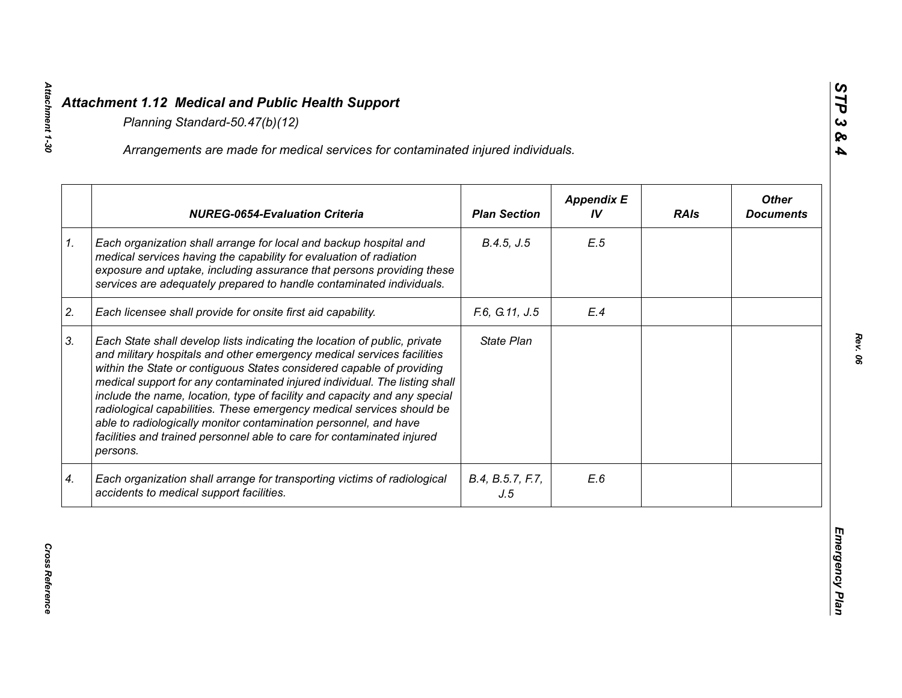|    | Arrangements are made for medical services for contaminated injured individuals.                                                                                                                                                                                                                                                                                                                                                                                                                                                                                                                                           |                         |                         |             |                                  |
|----|----------------------------------------------------------------------------------------------------------------------------------------------------------------------------------------------------------------------------------------------------------------------------------------------------------------------------------------------------------------------------------------------------------------------------------------------------------------------------------------------------------------------------------------------------------------------------------------------------------------------------|-------------------------|-------------------------|-------------|----------------------------------|
|    | <b>NUREG-0654-Evaluation Criteria</b>                                                                                                                                                                                                                                                                                                                                                                                                                                                                                                                                                                                      | <b>Plan Section</b>     | <b>Appendix E</b><br>IV | <b>RAIs</b> | <b>Other</b><br><b>Documents</b> |
| 1. | Each organization shall arrange for local and backup hospital and<br>medical services having the capability for evaluation of radiation<br>exposure and uptake, including assurance that persons providing these<br>services are adequately prepared to handle contaminated individuals.                                                                                                                                                                                                                                                                                                                                   | B.4.5, J.5              | E.5                     |             |                                  |
| 2. | Each licensee shall provide for onsite first aid capability.                                                                                                                                                                                                                                                                                                                                                                                                                                                                                                                                                               | F.6, G.11, J.5          | E.4                     |             |                                  |
| 3. | Each State shall develop lists indicating the location of public, private<br>and military hospitals and other emergency medical services facilities<br>within the State or contiguous States considered capable of providing<br>medical support for any contaminated injured individual. The listing shall<br>include the name, location, type of facility and capacity and any special<br>radiological capabilities. These emergency medical services should be<br>able to radiologically monitor contamination personnel, and have<br>facilities and trained personnel able to care for contaminated injured<br>persons. | State Plan              |                         |             |                                  |
| 4. | Each organization shall arrange for transporting victims of radiological<br>accidents to medical support facilities.                                                                                                                                                                                                                                                                                                                                                                                                                                                                                                       | B.4, B.5.7, F.7,<br>J.5 | E.6                     |             |                                  |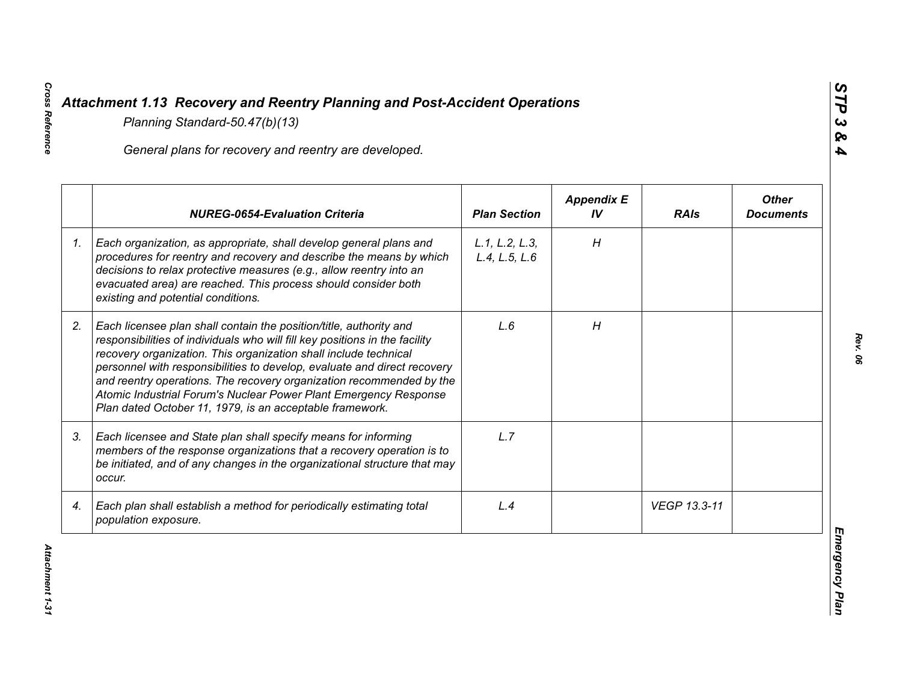|    | General plans for recovery and reentry are developed.                                                                                                                                                                                                                                                                                                                                                                                                                                                     |                                 |                         |              |                                  |
|----|-----------------------------------------------------------------------------------------------------------------------------------------------------------------------------------------------------------------------------------------------------------------------------------------------------------------------------------------------------------------------------------------------------------------------------------------------------------------------------------------------------------|---------------------------------|-------------------------|--------------|----------------------------------|
|    | <b>NUREG-0654-Evaluation Criteria</b>                                                                                                                                                                                                                                                                                                                                                                                                                                                                     | <b>Plan Section</b>             | <b>Appendix E</b><br>IV | <b>RAIs</b>  | <b>Other</b><br><b>Documents</b> |
| 1. | Each organization, as appropriate, shall develop general plans and<br>procedures for reentry and recovery and describe the means by which<br>decisions to relax protective measures (e.g., allow reentry into an<br>evacuated area) are reached. This process should consider both<br>existing and potential conditions.                                                                                                                                                                                  | L.1, L.2, L.3,<br>L.4, L.5, L.6 | H                       |              |                                  |
| 2. | Each licensee plan shall contain the position/title, authority and<br>responsibilities of individuals who will fill key positions in the facility<br>recovery organization. This organization shall include technical<br>personnel with responsibilities to develop, evaluate and direct recovery<br>and reentry operations. The recovery organization recommended by the<br>Atomic Industrial Forum's Nuclear Power Plant Emergency Response<br>Plan dated October 11, 1979, is an acceptable framework. | L.6                             | H                       |              |                                  |
| 3. | Each licensee and State plan shall specify means for informing<br>members of the response organizations that a recovery operation is to<br>be initiated, and of any changes in the organizational structure that may<br>occur.                                                                                                                                                                                                                                                                            | L.7                             |                         |              |                                  |
| 4. | Each plan shall establish a method for periodically estimating total<br>population exposure.                                                                                                                                                                                                                                                                                                                                                                                                              | L.4                             |                         | VEGP 13.3-11 |                                  |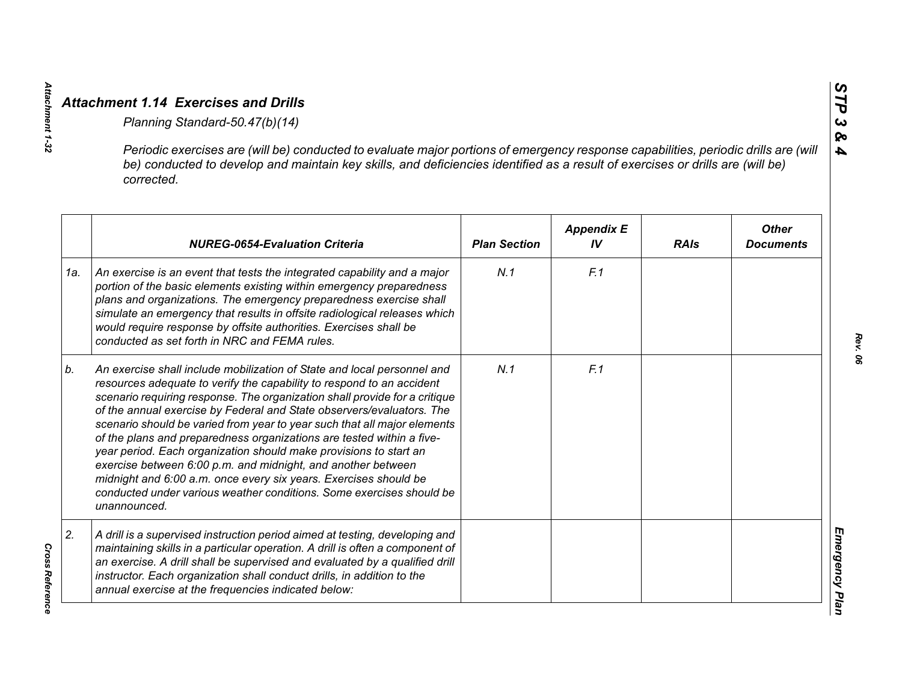|     | Periodic exercises are (will be) conducted to evaluate major portions of emergency response capabilities, periodic drills are (will<br>be) conducted to develop and maintain key skills, and deficiencies identified as a result of exercises or drills are (will be)<br>corrected.                                                                                                                                                                                                                                                                                                                                                                                                                                                                           |                     |                         |             |                                  |
|-----|---------------------------------------------------------------------------------------------------------------------------------------------------------------------------------------------------------------------------------------------------------------------------------------------------------------------------------------------------------------------------------------------------------------------------------------------------------------------------------------------------------------------------------------------------------------------------------------------------------------------------------------------------------------------------------------------------------------------------------------------------------------|---------------------|-------------------------|-------------|----------------------------------|
|     | <b>NUREG-0654-Evaluation Criteria</b>                                                                                                                                                                                                                                                                                                                                                                                                                                                                                                                                                                                                                                                                                                                         | <b>Plan Section</b> | <b>Appendix E</b><br>IV | <b>RAIs</b> | <b>Other</b><br><b>Documents</b> |
| 1a. | An exercise is an event that tests the integrated capability and a major<br>portion of the basic elements existing within emergency preparedness<br>plans and organizations. The emergency preparedness exercise shall<br>simulate an emergency that results in offsite radiological releases which<br>would require response by offsite authorities. Exercises shall be<br>conducted as set forth in NRC and FEMA rules.                                                                                                                                                                                                                                                                                                                                     | N.1                 | F.1                     |             |                                  |
| b.  | An exercise shall include mobilization of State and local personnel and<br>resources adequate to verify the capability to respond to an accident<br>scenario requiring response. The organization shall provide for a critique<br>of the annual exercise by Federal and State observers/evaluators. The<br>scenario should be varied from year to year such that all major elements<br>of the plans and preparedness organizations are tested within a five-<br>year period. Each organization should make provisions to start an<br>exercise between 6:00 p.m. and midnight, and another between<br>midnight and 6:00 a.m. once every six years. Exercises should be<br>conducted under various weather conditions. Some exercises should be<br>unannounced. | N.1                 | F.1                     |             |                                  |
| 2.  | A drill is a supervised instruction period aimed at testing, developing and<br>maintaining skills in a particular operation. A drill is often a component of<br>an exercise. A drill shall be supervised and evaluated by a qualified drill<br>instructor. Each organization shall conduct drills, in addition to the<br>annual exercise at the frequencies indicated below:                                                                                                                                                                                                                                                                                                                                                                                  |                     |                         |             |                                  |

**Cross Reference** *Cross Reference* 

*Attachment 1-32*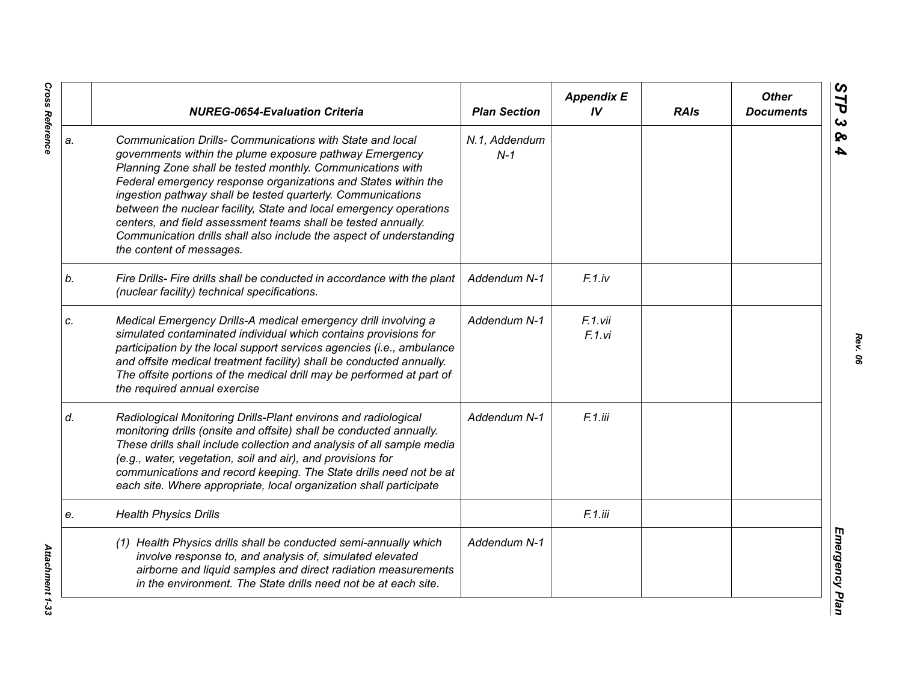|    | <b>NUREG-0654-Evaluation Criteria</b>                                                                                                                                                                                                                                                                                                                                                                                                                                                                                                                         | <b>Plan Section</b>    | <b>Appendix E</b><br>IV | <b>RAIs</b> | <b>Other</b><br><b>Documents</b> |
|----|---------------------------------------------------------------------------------------------------------------------------------------------------------------------------------------------------------------------------------------------------------------------------------------------------------------------------------------------------------------------------------------------------------------------------------------------------------------------------------------------------------------------------------------------------------------|------------------------|-------------------------|-------------|----------------------------------|
| a. | Communication Drills- Communications with State and local<br>governments within the plume exposure pathway Emergency<br>Planning Zone shall be tested monthly. Communications with<br>Federal emergency response organizations and States within the<br>ingestion pathway shall be tested quarterly. Communications<br>between the nuclear facility, State and local emergency operations<br>centers, and field assessment teams shall be tested annually.<br>Communication drills shall also include the aspect of understanding<br>the content of messages. | N.1, Addendum<br>$N-1$ |                         |             |                                  |
| b. | Fire Drills- Fire drills shall be conducted in accordance with the plant<br>(nuclear facility) technical specifications.                                                                                                                                                                                                                                                                                                                                                                                                                                      | Addendum N-1           | $F.1$ .iv               |             |                                  |
| c. | Medical Emergency Drills-A medical emergency drill involving a<br>simulated contaminated individual which contains provisions for<br>participation by the local support services agencies (i.e., ambulance<br>and offsite medical treatment facility) shall be conducted annually.<br>The offsite portions of the medical drill may be performed at part of<br>the required annual exercise                                                                                                                                                                   | Addendum N-1           | F.1.vii<br>F.1.vi       |             |                                  |
| d. | Radiological Monitoring Drills-Plant environs and radiological<br>monitoring drills (onsite and offsite) shall be conducted annually.<br>These drills shall include collection and analysis of all sample media<br>(e.g., water, vegetation, soil and air), and provisions for<br>communications and record keeping. The State drills need not be at<br>each site. Where appropriate, local organization shall participate                                                                                                                                    | Addendum N-1           | F.1.iii                 |             |                                  |
| е. | <b>Health Physics Drills</b>                                                                                                                                                                                                                                                                                                                                                                                                                                                                                                                                  |                        | F.1.iii                 |             |                                  |
|    | (1) Health Physics drills shall be conducted semi-annually which<br>involve response to, and analysis of, simulated elevated<br>airborne and liquid samples and direct radiation measurements<br>in the environment. The State drills need not be at each site.                                                                                                                                                                                                                                                                                               | Addendum N-1           |                         |             |                                  |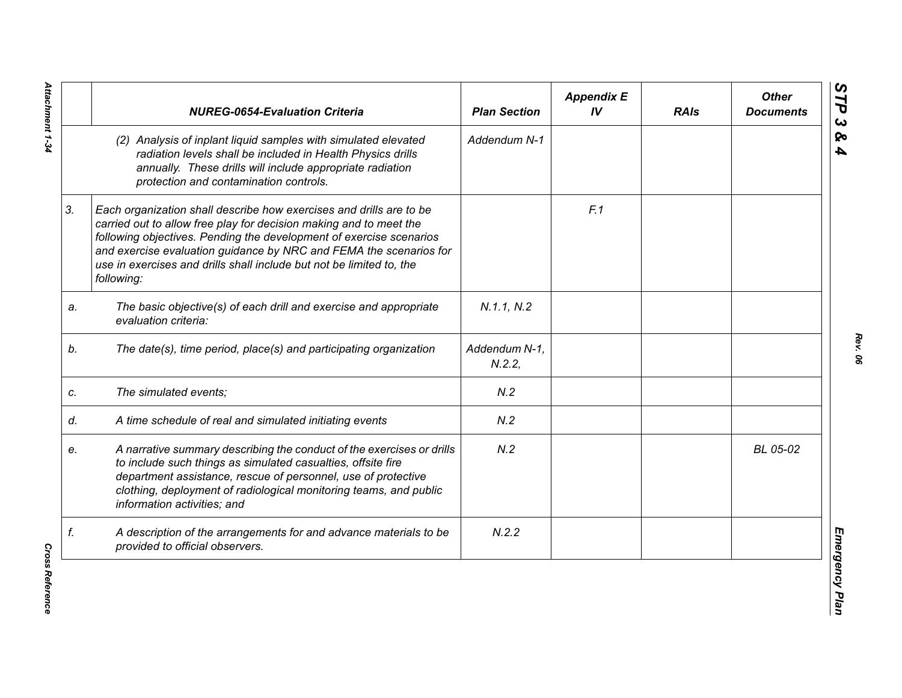|    | <b>NUREG-0654-Evaluation Criteria</b>                                                                                                                                                                                                                                                                                                                                        | <b>Plan Section</b>    | <b>Appendix E</b><br>IV | <b>RAIs</b> | <b>Other</b><br><b>Documents</b> |
|----|------------------------------------------------------------------------------------------------------------------------------------------------------------------------------------------------------------------------------------------------------------------------------------------------------------------------------------------------------------------------------|------------------------|-------------------------|-------------|----------------------------------|
|    | (2) Analysis of inplant liquid samples with simulated elevated<br>radiation levels shall be included in Health Physics drills<br>annually. These drills will include appropriate radiation<br>protection and contamination controls.                                                                                                                                         | Addendum N-1           |                         |             |                                  |
| 3. | Each organization shall describe how exercises and drills are to be<br>carried out to allow free play for decision making and to meet the<br>following objectives. Pending the development of exercise scenarios<br>and exercise evaluation guidance by NRC and FEMA the scenarios for<br>use in exercises and drills shall include but not be limited to, the<br>following: |                        | F.1                     |             |                                  |
| a. | The basic objective(s) of each drill and exercise and appropriate<br>evaluation criteria:                                                                                                                                                                                                                                                                                    | N.1.1, N.2             |                         |             |                                  |
| b. | The date(s), time period, place(s) and participating organization                                                                                                                                                                                                                                                                                                            | Addendum N-1,<br>N.2.2 |                         |             |                                  |
| c. | The simulated events;                                                                                                                                                                                                                                                                                                                                                        | N.2                    |                         |             |                                  |
| d. | A time schedule of real and simulated initiating events                                                                                                                                                                                                                                                                                                                      | N.2                    |                         |             |                                  |
| е. | A narrative summary describing the conduct of the exercises or drills<br>to include such things as simulated casualties, offsite fire<br>department assistance, rescue of personnel, use of protective<br>clothing, deployment of radiological monitoring teams, and public<br>information activities; and                                                                   | N.2                    |                         |             | BL 05-02                         |
| f. | A description of the arrangements for and advance materials to be<br>provided to official observers.                                                                                                                                                                                                                                                                         | N.2.2                  |                         |             |                                  |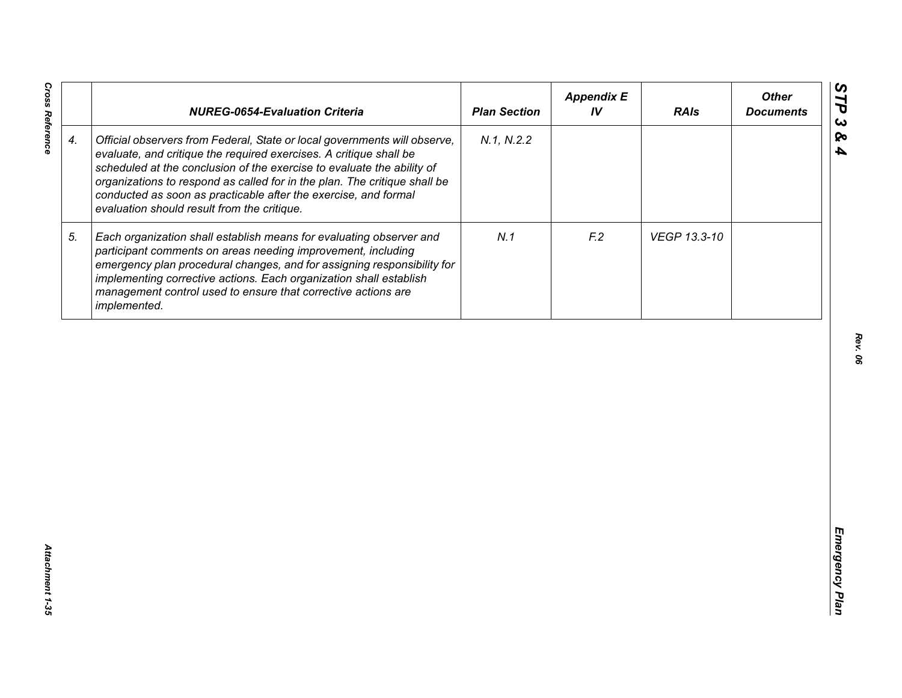|                    | <b>NUREG-0654-Evaluation Criteria</b>                                                                                                                                                                                                                                                                                                                                                                                    | <b>Plan Section</b> | <b>Appendix E</b><br>IV | <b>RAIs</b>  | <b>Other</b><br><b>Documents</b> |
|--------------------|--------------------------------------------------------------------------------------------------------------------------------------------------------------------------------------------------------------------------------------------------------------------------------------------------------------------------------------------------------------------------------------------------------------------------|---------------------|-------------------------|--------------|----------------------------------|
| $\boldsymbol{4}$ . | Official observers from Federal, State or local governments will observe,<br>evaluate, and critique the required exercises. A critique shall be<br>scheduled at the conclusion of the exercise to evaluate the ability of<br>organizations to respond as called for in the plan. The critique shall be<br>conducted as soon as practicable after the exercise, and formal<br>evaluation should result from the critique. | N.1, N.2.2          |                         |              |                                  |
| 5.                 | Each organization shall establish means for evaluating observer and<br>participant comments on areas needing improvement, including<br>emergency plan procedural changes, and for assigning responsibility for<br>implementing corrective actions. Each organization shall establish<br>management control used to ensure that corrective actions are<br>implemented.                                                    | N.1                 | F <sub>12</sub>         | VEGP 13.3-10 |                                  |
|                    |                                                                                                                                                                                                                                                                                                                                                                                                                          |                     |                         |              |                                  |
|                    |                                                                                                                                                                                                                                                                                                                                                                                                                          |                     |                         |              |                                  |
|                    |                                                                                                                                                                                                                                                                                                                                                                                                                          |                     |                         |              |                                  |
|                    |                                                                                                                                                                                                                                                                                                                                                                                                                          |                     |                         |              |                                  |
|                    |                                                                                                                                                                                                                                                                                                                                                                                                                          |                     |                         |              |                                  |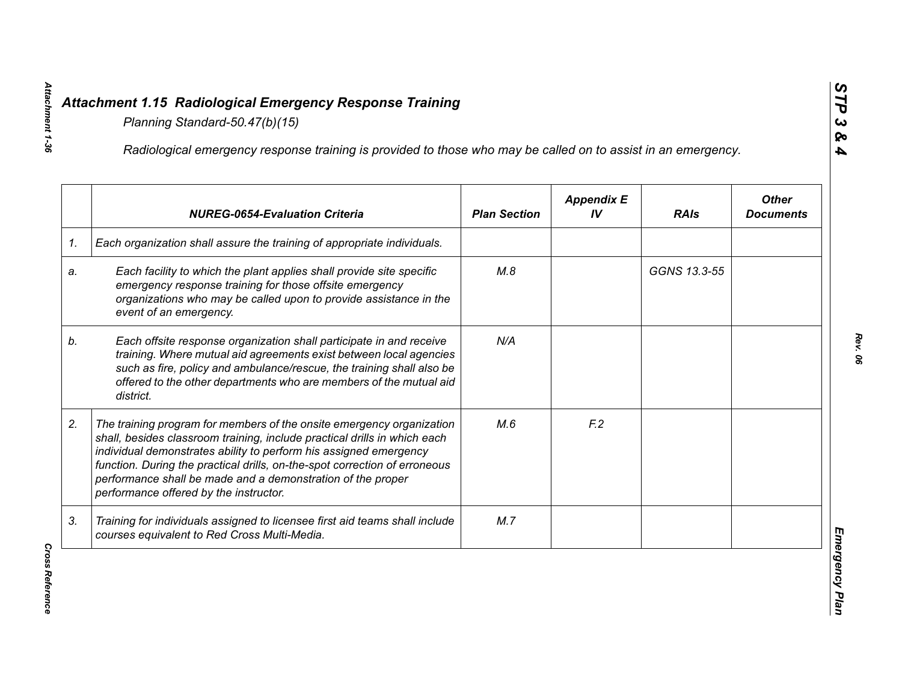|    | Radiological emergency response training is provided to those who may be called on to assist in an emergency.                                                                                                                                                                                                                                                                                                  |                     |                         |              |                                  |
|----|----------------------------------------------------------------------------------------------------------------------------------------------------------------------------------------------------------------------------------------------------------------------------------------------------------------------------------------------------------------------------------------------------------------|---------------------|-------------------------|--------------|----------------------------------|
|    | <b>NUREG-0654-Evaluation Criteria</b>                                                                                                                                                                                                                                                                                                                                                                          | <b>Plan Section</b> | <b>Appendix E</b><br>IV | <b>RAIs</b>  | <b>Other</b><br><b>Documents</b> |
| 1. | Each organization shall assure the training of appropriate individuals.                                                                                                                                                                                                                                                                                                                                        |                     |                         |              |                                  |
| a. | Each facility to which the plant applies shall provide site specific<br>emergency response training for those offsite emergency<br>organizations who may be called upon to provide assistance in the<br>event of an emergency.                                                                                                                                                                                 | M.8                 |                         | GGNS 13.3-55 |                                  |
| b. | Each offsite response organization shall participate in and receive<br>training. Where mutual aid agreements exist between local agencies<br>such as fire, policy and ambulance/rescue, the training shall also be<br>offered to the other departments who are members of the mutual aid<br>district.                                                                                                          | N/A                 |                         |              |                                  |
| 2. | The training program for members of the onsite emergency organization<br>shall, besides classroom training, include practical drills in which each<br>individual demonstrates ability to perform his assigned emergency<br>function. During the practical drills, on-the-spot correction of erroneous<br>performance shall be made and a demonstration of the proper<br>performance offered by the instructor. | M.6                 | F <sub>12</sub>         |              |                                  |
| 3. | Training for individuals assigned to licensee first aid teams shall include<br>courses equivalent to Red Cross Multi-Media.                                                                                                                                                                                                                                                                                    | M.7                 |                         |              |                                  |

*Cross Reference* 

**Cross Reference**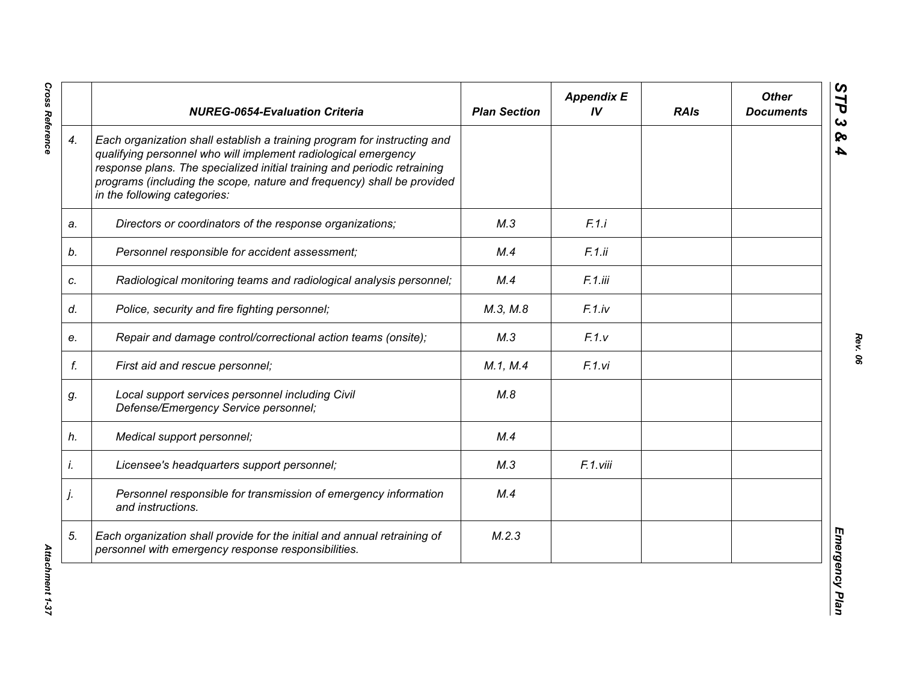|    | <b>NUREG-0654-Evaluation Criteria</b>                                                                                                                                                                                                                                                                                            | <b>Plan Section</b> | <b>Appendix E</b><br>IV | <b>RAIs</b> | <b>Other</b><br><b>Documents</b> |
|----|----------------------------------------------------------------------------------------------------------------------------------------------------------------------------------------------------------------------------------------------------------------------------------------------------------------------------------|---------------------|-------------------------|-------------|----------------------------------|
| 4. | Each organization shall establish a training program for instructing and<br>qualifying personnel who will implement radiological emergency<br>response plans. The specialized initial training and periodic retraining<br>programs (including the scope, nature and frequency) shall be provided<br>in the following categories: |                     |                         |             |                                  |
| a. | Directors or coordinators of the response organizations;                                                                                                                                                                                                                                                                         | M.3                 | F.1.i                   |             |                                  |
| b. | Personnel responsible for accident assessment;                                                                                                                                                                                                                                                                                   | M.4                 | F.1.ii                  |             |                                  |
| c. | Radiological monitoring teams and radiological analysis personnel;                                                                                                                                                                                                                                                               | M.4                 | F.1.iii                 |             |                                  |
| d. | Police, security and fire fighting personnel;                                                                                                                                                                                                                                                                                    | M.3, M.8            | F.1(iv                  |             |                                  |
| е. | Repair and damage control/correctional action teams (onsite);                                                                                                                                                                                                                                                                    | M.3                 | F.1.v                   |             |                                  |
| f. | First aid and rescue personnel;                                                                                                                                                                                                                                                                                                  | M.1, M.4            | F.1.vi                  |             |                                  |
| g. | Local support services personnel including Civil<br>Defense/Emergency Service personnel;                                                                                                                                                                                                                                         | M.8                 |                         |             |                                  |
| h. | Medical support personnel;                                                                                                                                                                                                                                                                                                       | M.4                 |                         |             |                                  |
| İ. | Licensee's headquarters support personnel;                                                                                                                                                                                                                                                                                       | M.3                 | F.1.viii                |             |                                  |
| j. | Personnel responsible for transmission of emergency information<br>and instructions.                                                                                                                                                                                                                                             | M.4                 |                         |             |                                  |
| 5. | Each organization shall provide for the initial and annual retraining of<br>personnel with emergency response responsibilities.                                                                                                                                                                                                  | M.2.3               |                         |             |                                  |

**Cross Reference**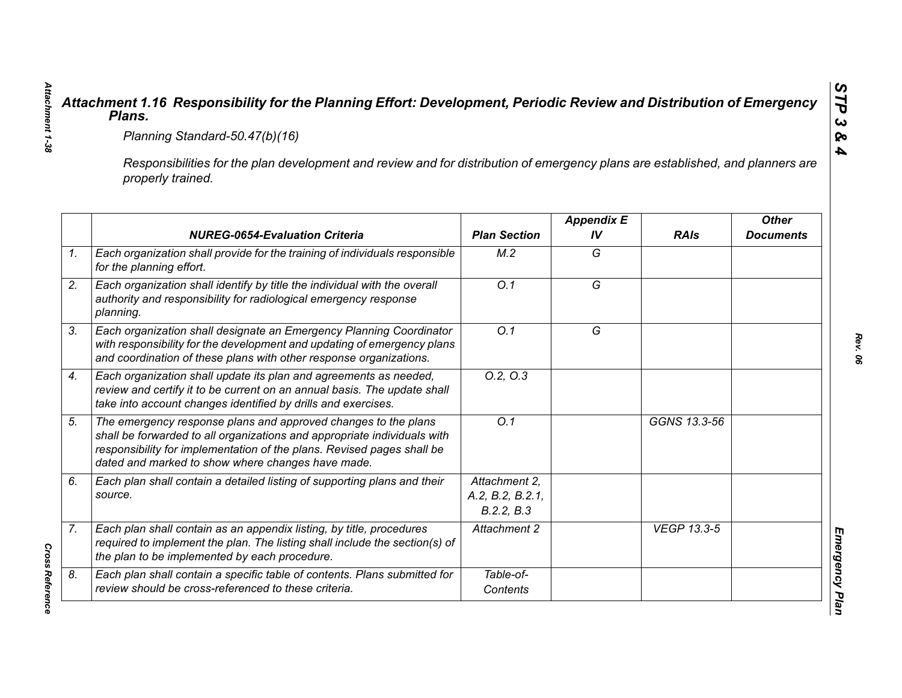|                                                                                                                                                     | Planning Standard-50.47(b)(16)                                                                                                                                                                                                                                            |                                                 |                         |                    |                                  |  |
|-----------------------------------------------------------------------------------------------------------------------------------------------------|---------------------------------------------------------------------------------------------------------------------------------------------------------------------------------------------------------------------------------------------------------------------------|-------------------------------------------------|-------------------------|--------------------|----------------------------------|--|
| Responsibilities for the plan development and review and for distribution of emergency plans are established, and planners are<br>properly trained. |                                                                                                                                                                                                                                                                           |                                                 |                         |                    |                                  |  |
|                                                                                                                                                     | <b>NUREG-0654-Evaluation Criteria</b>                                                                                                                                                                                                                                     | <b>Plan Section</b>                             | <b>Appendix E</b><br>IV | <b>RAIs</b>        | <b>Other</b><br><b>Documents</b> |  |
|                                                                                                                                                     | Each organization shall provide for the training of individuals responsible<br>for the planning effort.                                                                                                                                                                   | M.2                                             | G                       |                    |                                  |  |
|                                                                                                                                                     | Each organization shall identify by title the individual with the overall<br>authority and responsibility for radiological emergency response<br>planning.                                                                                                                | $\overline{O.1}$                                | $\overline{G}$          |                    |                                  |  |
|                                                                                                                                                     | Each organization shall designate an Emergency Planning Coordinator<br>with responsibility for the development and updating of emergency plans<br>and coordination of these plans with other response organizations.                                                      | O.1                                             | G                       |                    |                                  |  |
|                                                                                                                                                     | Each organization shall update its plan and agreements as needed,<br>review and certify it to be current on an annual basis. The update shall<br>take into account changes identified by drills and exercises.                                                            | 0.2, 0.3                                        |                         |                    |                                  |  |
|                                                                                                                                                     | The emergency response plans and approved changes to the plans<br>shall be forwarded to all organizations and appropriate individuals with<br>responsibility for implementation of the plans. Revised pages shall be<br>dated and marked to show where changes have made. | Q.1                                             |                         | GGNS 13.3-56       |                                  |  |
| source.                                                                                                                                             | Each plan shall contain a detailed listing of supporting plans and their                                                                                                                                                                                                  | Attachment 2.<br>A.2, B.2, B.2.1,<br>B.2.2, B.3 |                         |                    |                                  |  |
|                                                                                                                                                     | Each plan shall contain as an appendix listing, by title, procedures<br>required to implement the plan. The listing shall include the section(s) of<br>the plan to be implemented by each procedure.                                                                      | Attachment 2                                    |                         | <b>VEGP 13.3-5</b> |                                  |  |
|                                                                                                                                                     | Each plan shall contain a specific table of contents. Plans submitted for<br>review should be cross-referenced to these criteria.                                                                                                                                         | Table-of-<br>Contents                           |                         |                    |                                  |  |